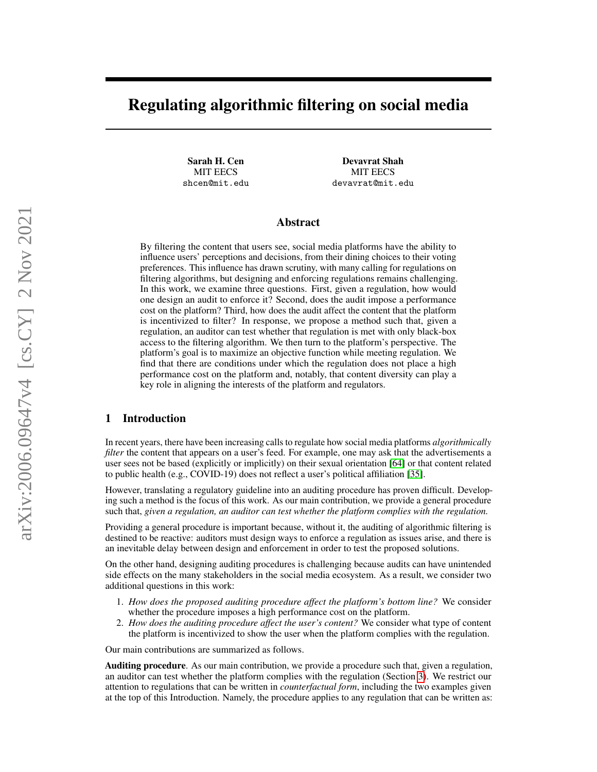# Regulating algorithmic filtering on social media

Sarah H. Cen MIT EECS shcen@mit.edu

Devavrat Shah MIT EECS devavrat@mit.edu

# Abstract

By filtering the content that users see, social media platforms have the ability to influence users' perceptions and decisions, from their dining choices to their voting preferences. This influence has drawn scrutiny, with many calling for regulations on filtering algorithms, but designing and enforcing regulations remains challenging. In this work, we examine three questions. First, given a regulation, how would one design an audit to enforce it? Second, does the audit impose a performance cost on the platform? Third, how does the audit affect the content that the platform is incentivized to filter? In response, we propose a method such that, given a regulation, an auditor can test whether that regulation is met with only black-box access to the filtering algorithm. We then turn to the platform's perspective. The platform's goal is to maximize an objective function while meeting regulation. We find that there are conditions under which the regulation does not place a high performance cost on the platform and, notably, that content diversity can play a key role in aligning the interests of the platform and regulators.

# 1 Introduction

In recent years, there have been increasing calls to regulate how social media platforms *algorithmically filter* the content that appears on a user's feed. For example, one may ask that the advertisements a user sees not be based (explicitly or implicitly) on their sexual orientation [\[64\]](#page-13-0) or that content related to public health (e.g., COVID-19) does not reflect a user's political affiliation [\[35\]](#page-11-0).

However, translating a regulatory guideline into an auditing procedure has proven difficult. Developing such a method is the focus of this work. As our main contribution, we provide a general procedure such that, *given a regulation, an auditor can test whether the platform complies with the regulation.*

Providing a general procedure is important because, without it, the auditing of algorithmic filtering is destined to be reactive: auditors must design ways to enforce a regulation as issues arise, and there is an inevitable delay between design and enforcement in order to test the proposed solutions.

On the other hand, designing auditing procedures is challenging because audits can have unintended side effects on the many stakeholders in the social media ecosystem. As a result, we consider two additional questions in this work:

- 1. *How does the proposed auditing procedure affect the platform's bottom line?* We consider whether the procedure imposes a high performance cost on the platform.
- 2. *How does the auditing procedure affect the user's content?* We consider what type of content the platform is incentivized to show the user when the platform complies with the regulation.

Our main contributions are summarized as follows.

Auditing procedure. As our main contribution, we provide a procedure such that, given a regulation, an auditor can test whether the platform complies with the regulation (Section [3\)](#page-3-0). We restrict our attention to regulations that can be written in *counterfactual form*, including the two examples given at the top of this Introduction. Namely, the procedure applies to any regulation that can be written as: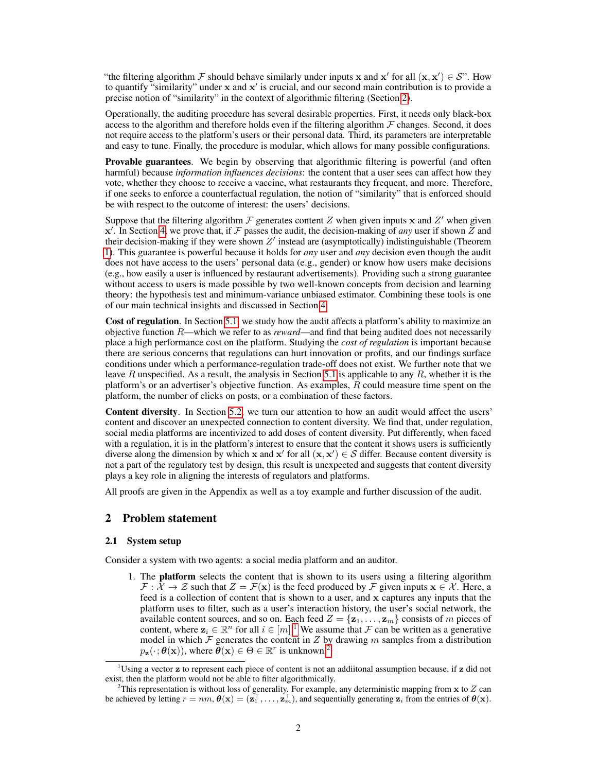"the filtering algorithm F should behave similarly under inputs x and x' for all  $(x, x') \in S$ ". How to quantify "similarity" under  $x$  and  $x'$  is crucial, and our second main contribution is to provide a precise notion of "similarity" in the context of algorithmic filtering (Section [2\)](#page-1-0).

Operationally, the auditing procedure has several desirable properties. First, it needs only black-box access to the algorithm and therefore holds even if the filtering algorithm  $\mathcal F$  changes. Second, it does not require access to the platform's users or their personal data. Third, its parameters are interpretable and easy to tune. Finally, the procedure is modular, which allows for many possible configurations.

**Provable guarantees.** We begin by observing that algorithmic filtering is powerful (and often harmful) because *information influences decisions*: the content that a user sees can affect how they vote, whether they choose to receive a vaccine, what restaurants they frequent, and more. Therefore, if one seeks to enforce a counterfactual regulation, the notion of "similarity" that is enforced should be with respect to the outcome of interest: the users' decisions.

Suppose that the filtering algorithm  $\mathcal F$  generates content Z when given inputs x and Z' when given  $x'$ . In Section [4,](#page-5-0) we prove that, if  $\mathcal F$  passes the audit, the decision-making of *any* user if shown  $\overline{Z}$  and their decision-making if they were shown  $Z'$  instead are (asymptotically) indistinguishable (Theorem [1\)](#page-5-1). This guarantee is powerful because it holds for *any* user and *any* decision even though the audit does not have access to the users' personal data (e.g., gender) or know how users make decisions (e.g., how easily a user is influenced by restaurant advertisements). Providing such a strong guarantee without access to users is made possible by two well-known concepts from decision and learning theory: the hypothesis test and minimum-variance unbiased estimator. Combining these tools is one of our main technical insights and discussed in Section [4.](#page-5-0)

Cost of regulation. In Section [5.1,](#page-7-0) we study how the audit affects a platform's ability to maximize an objective function R—which we refer to as *reward*—and find that being audited does not necessarily place a high performance cost on the platform. Studying the *cost of regulation* is important because there are serious concerns that regulations can hurt innovation or profits, and our findings surface conditions under which a performance-regulation trade-off does not exist. We further note that we leave R unspecified. As a result, the analysis in Section [5.1](#page-7-0) is applicable to any R, whether it is the platform's or an advertiser's objective function. As examples, R could measure time spent on the platform, the number of clicks on posts, or a combination of these factors.

Content diversity. In Section [5.2,](#page-8-0) we turn our attention to how an audit would affect the users' content and discover an unexpected connection to content diversity. We find that, under regulation, social media platforms are incentivized to add doses of content diversity. Put differently, when faced with a regulation, it is in the platform's interest to ensure that the content it shows users is sufficiently diverse along the dimension by which x and x' for all  $(x, x') \in S$  differ. Because content diversity is not a part of the regulatory test by design, this result is unexpected and suggests that content diversity plays a key role in aligning the interests of regulators and platforms.

All proofs are given in the Appendix as well as a toy example and further discussion of the audit.

# <span id="page-1-0"></span>2 Problem statement

## 2.1 System setup

Consider a system with two agents: a social media platform and an auditor.

1. The platform selects the content that is shown to its users using a filtering algorithm  $\mathcal{F}: \bar{\mathcal{X}} \to \mathcal{Z}$  such that  $Z = \mathcal{F}(\mathbf{x})$  is the feed produced by  $\mathcal{F}$  given inputs  $\mathbf{x} \in \mathcal{X}$ . Here, a feed is a collection of content that is shown to a user, and x captures any inputs that the platform uses to filter, such as a user's interaction history, the user's social network, the available content sources, and so on. Each feed  $Z = {\mathbf{z}_1, \dots, \mathbf{z}_m}$  consists of m pieces of content, where  $z_i \in \mathbb{R}^n$  for all  $i \in [m]^1$  $i \in [m]^1$ . We assume that  $\mathcal F$  can be written as a generative model in which  $\mathcal F$  generates the content in  $Z$  by drawing  $m$  samples from a distribution  $p_{\mathbf{z}}(\cdot; \boldsymbol{\theta}(\mathbf{x})),$  where  $\boldsymbol{\theta}(\mathbf{x}) \in \Theta \in \mathbb{R}^r$  is unknown.<sup>[2](#page-1-2)</sup>

<span id="page-1-1"></span><sup>&</sup>lt;sup>1</sup>Using a vector  $z$  to represent each piece of content is not an addiitonal assumption because, if  $z$  did not exist, then the platform would not be able to filter algorithmically.

<span id="page-1-2"></span><sup>&</sup>lt;sup>2</sup>This representation is without loss of generality. For example, any deterministic mapping from  $x$  to  $Z$  can be achieved by letting  $r = nm$ ,  $\theta(\mathbf{x}) = (\mathbf{z}_1^\top, \dots, \mathbf{z}_m^\top)$ , and sequentially generating  $\mathbf{z}_i$  from the entries of  $\theta(\mathbf{x})$ .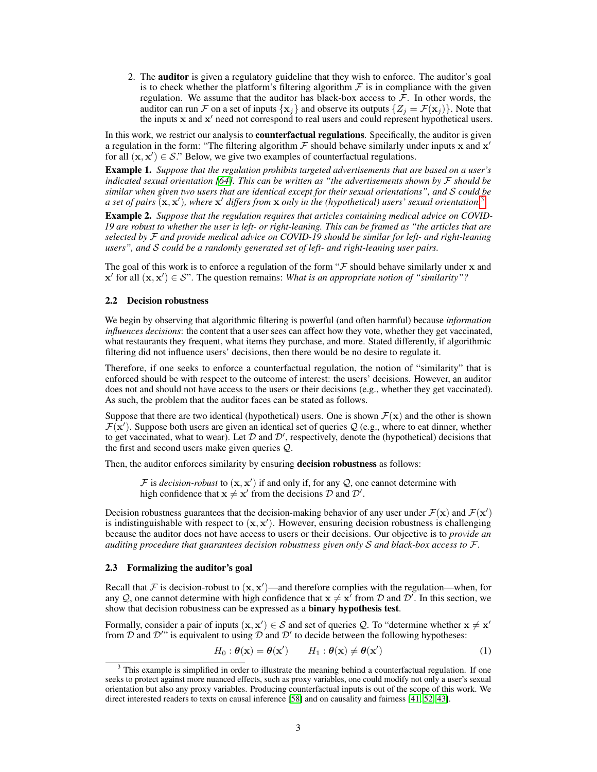2. The auditor is given a regulatory guideline that they wish to enforce. The auditor's goal is to check whether the platform's filtering algorithm  $F$  is in compliance with the given regulation. We assume that the auditor has black-box access to  $\mathcal F$ . In other words, the auditor can run F on a set of inputs  $\{x_j\}$  and observe its outputs  $\{Z_j = \mathcal{F}(x_j)\}\$ . Note that the inputs x and x' need not correspond to real users and could represent hypothetical users.

In this work, we restrict our analysis to **counterfactual regulations**. Specifically, the auditor is given a regulation in the form: "The filtering algorithm  $\mathcal F$  should behave similarly under inputs x and  $x'$ for all  $(x, x') \in S$ ." Below, we give two examples of counterfactual regulations.

<span id="page-2-3"></span>Example 1. *Suppose that the regulation prohibits targeted advertisements that are based on a user's indicated sexual orientation [\[64\]](#page-13-0). This can be written as "the advertisements shown by* F *should be similar when given two users that are identical except for their sexual orientations", and* S *could be a set of pairs* (x, x'), where x' differs from x only in the (hypothetical) users' sexual orientation.<sup>[3](#page-2-0)</sup>

Example 2. *Suppose that the regulation requires that articles containing medical advice on COVID-19 are robust to whether the user is left- or right-leaning. This can be framed as "the articles that are selected by* F *and provide medical advice on COVID-19 should be similar for left- and right-leaning users", and* S *could be a randomly generated set of left- and right-leaning user pairs.*

The goal of this work is to enforce a regulation of the form " $\mathcal F$  should behave similarly under x and  $\mathbf{x}'$  for all  $(\mathbf{x}, \mathbf{x}') \in \mathcal{S}$ ". The question remains: *What is an appropriate notion of "similarity"?* 

## <span id="page-2-2"></span>2.2 Decision robustness

We begin by observing that algorithmic filtering is powerful (and often harmful) because *information influences decisions*: the content that a user sees can affect how they vote, whether they get vaccinated, what restaurants they frequent, what items they purchase, and more. Stated differently, if algorithmic filtering did not influence users' decisions, then there would be no desire to regulate it.

Therefore, if one seeks to enforce a counterfactual regulation, the notion of "similarity" that is enforced should be with respect to the outcome of interest: the users' decisions. However, an auditor does not and should not have access to the users or their decisions (e.g., whether they get vaccinated). As such, the problem that the auditor faces can be stated as follows.

Suppose that there are two identical (hypothetical) users. One is shown  $\mathcal{F}(\mathbf{x})$  and the other is shown  $\mathcal{F}(\mathbf{x}')$ . Suppose both users are given an identical set of queries Q (e.g., where to eat dinner, whether to get vaccinated, what to wear). Let  $D$  and  $D'$ , respectively, denote the (hypothetical) decisions that the first and second users make given queries Q.

Then, the auditor enforces similarity by ensuring decision robustness as follows:

 $\mathcal F$  is *decision-robust* to  $(\mathbf x, \mathbf x')$  if and only if, for any  $\mathcal Q$ , one cannot determine with high confidence that  $x \neq x'$  from the decisions  $D$  and  $D'$ .

Decision robustness guarantees that the decision-making behavior of any user under  $\mathcal{F}(x)$  and  $\mathcal{F}(x')$ is indistinguishable with respect to  $(x, x')$ . However, ensuring decision robustness is challenging because the auditor does not have access to users or their decisions. Our objective is to *provide an auditing procedure that guarantees decision robustness given only* S *and black-box access to* F.

#### <span id="page-2-4"></span>2.3 Formalizing the auditor's goal

Recall that F is decision-robust to  $(x, x')$ —and therefore complies with the regulation—when, for any Q, one cannot determine with high confidence that  $x \neq x^7$  from D and D'. In this section, we show that decision robustness can be expressed as a **binary hypothesis test**.

Formally, consider a pair of inputs  $(x, x') \in S$  and set of queries Q. To "determine whether  $x \neq x'$ from  $\mathcal D$  and  $\mathcal D''$  is equivalent to using  $\mathcal D$  and  $\mathcal D'$  to decide between the following hypotheses:

<span id="page-2-1"></span>
$$
H_0: \theta(\mathbf{x}) = \theta(\mathbf{x}') \qquad H_1: \theta(\mathbf{x}) \neq \theta(\mathbf{x}')
$$
 (1)

<span id="page-2-0"></span><sup>&</sup>lt;sup>3</sup> This example is simplified in order to illustrate the meaning behind a counterfactual regulation. If one seeks to protect against more nuanced effects, such as proxy variables, one could modify not only a user's sexual orientation but also any proxy variables. Producing counterfactual inputs is out of the scope of this work. We direct interested readers to texts on causal inference [\[58\]](#page-12-0) and on causality and fairness [\[41,](#page-12-1) [52,](#page-12-2) [43\]](#page-12-3).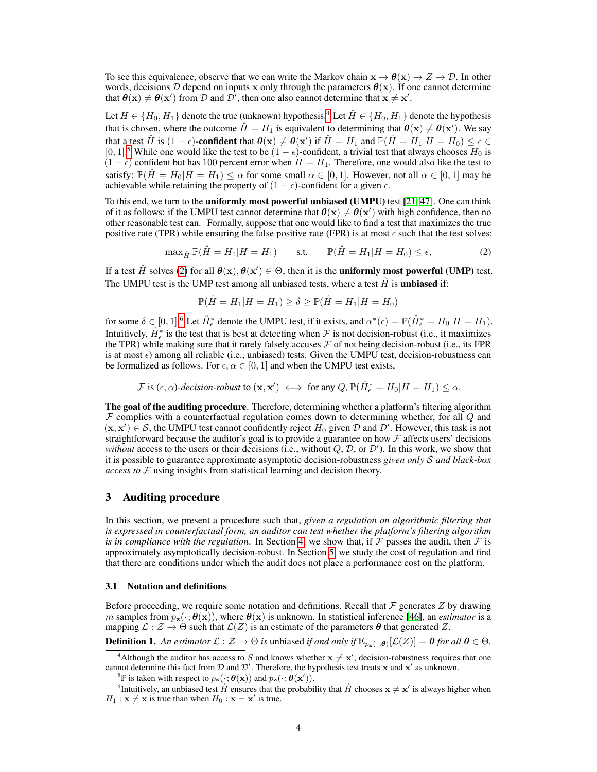To see this equivalence, observe that we can write the Markov chain  $x \to \theta(x) \to Z \to \mathcal{D}$ . In other words, decisions D depend on inputs x only through the parameters  $\theta(x)$ . If one cannot determine that  $\theta(x) \neq \theta(x')$  from D and  $\mathcal{D}$ , then one also cannot determine that  $x \neq x'$ .

Let  $H \in \{H_0, H_1\}$  denote the true (unknown) hypothesis.<sup>[4](#page-3-1)</sup> Let  $\hat{H} \in \{H_0, H_1\}$  denote the hypothesis that is chosen, where the outcome  $\hat{H} = H_1$  is equivalent to determining that  $\theta(\mathbf{x}) \neq \theta(\mathbf{x}')$ . We say that a test  $\hat{H}$  is  $(1 - \epsilon)$ -confident that  $\theta(\mathbf{x}) \neq \theta(\mathbf{x}')$  if  $\hat{H} = H_1$  and  $\mathbb{P}(\hat{H} = H_1|H = H_0) \leq \epsilon \in$ [0, 1].<sup>[5](#page-3-2)</sup> While one would like the test to be  $(1 - \epsilon)$ -confident, a trivial test that always chooses  $H_0$  is  $(1 - \epsilon)$  confident but has 100 percent error when  $H = H_1$ . Therefore, one would also like the test to satisfy:  $\mathbb{P}(\hat{H} = H_0 | H = H_1) \leq \alpha$  for some small  $\alpha \in [0, 1]$ . However, not all  $\alpha \in [0, 1]$  may be achievable while retaining the property of  $(1 - \epsilon)$ -confident for a given  $\epsilon$ .

To this end, we turn to the uniformly most powerful unbiased (UMPU) test [\[21,](#page-11-1) [47\]](#page-12-4). One can think of it as follows: if the UMPU test cannot determine that  $\theta(x) \neq \theta(x')$  with high confidence, then no other reasonable test can. Formally, suppose that one would like to find a test that maximizes the true positive rate (TPR) while ensuring the false positive rate (FPR) is at most  $\epsilon$  such that the test solves:

$$
\max_{\hat{H}} \mathbb{P}(\hat{H} = H_1 | H = H_1) \quad \text{s.t.} \quad \mathbb{P}(\hat{H} = H_1 | H = H_0) \le \epsilon,\tag{2}
$$

If a test  $\hat{H}$  solves [\(2\)](#page-3-3) for all  $\theta(\mathbf{x}), \theta(\mathbf{x}') \in \Theta$ , then it is the **uniformly most powerful (UMP)** test. The UMPU test is the UMP test among all unbiased tests, where a test  $\hat{H}$  is **unbiased** if:

<span id="page-3-3"></span>
$$
\mathbb{P}(\hat{H} = H_1 | H = H_1) \ge \delta \ge \mathbb{P}(\hat{H} = H_1 | H = H_0)
$$

for some  $\delta \in [0,1]$ . Let  $\hat{H}_{\epsilon}^{*}$  denote the UMPU test, if it exists, and  $\alpha^{*}(\epsilon) = \mathbb{P}(\hat{H}_{\epsilon}^{*} = H_{0}|H = H_{1})$ . Intuitively,  $\hat{H}_{\epsilon}^*$  is the test that is best at detecting when  $\cal F$  is not decision-robust (i.e., it maximizes the TPR) while making sure that it rarely falsely accuses  $\mathcal F$  of not being decision-robust (i.e., its FPR is at most  $\epsilon$ ) among all reliable (i.e., unbiased) tests. Given the UMPU test, decision-robustness can be formalized as follows. For  $\epsilon, \alpha \in [0, 1]$  and when the UMPU test exists,

$$
\mathcal{F} \text{ is } (\epsilon, \alpha)\text{-}decision-robust \text{ to } (\mathbf{x}, \mathbf{x}') \iff \text{for any } Q, \mathbb{P}(\hat{H}_{\epsilon}^* = H_0 | H = H_1) \leq \alpha.
$$

The goal of the auditing procedure. Therefore, determining whether a platform's filtering algorithm  $\mathcal F$  complies with a counterfactual regulation comes down to determining whether, for all  $Q$  and  $(x, x') \in S$ , the UMPU test cannot confidently reject  $H_0$  given  $D$  and  $D'$ . However, this task is not straightforward because the auditor's goal is to provide a guarantee on how  $\mathcal F$  affects users' decisions without access to the users or their decisions (i.e., without  $Q, \mathcal{D}$ , or  $\mathcal{D}'$ ). In this work, we show that it is possible to guarantee approximate asymptotic decision-robustness *given only* S *and black-box access to* F using insights from statistical learning and decision theory.

# <span id="page-3-0"></span>3 Auditing procedure

In this section, we present a procedure such that, *given a regulation on algorithmic filtering that is expressed in counterfactual form, an auditor can test whether the platform's filtering algorithm is in compliance with the regulation*. In Section [4,](#page-5-0) we show that, if  $\mathcal F$  passes the audit, then  $\mathcal F$  is approximately asymptotically decision-robust. In Section [5,](#page-7-1) we study the cost of regulation and find that there are conditions under which the audit does not place a performance cost on the platform.

#### 3.1 Notation and definitions

Before proceeding, we require some notation and definitions. Recall that  $\mathcal F$  generates  $Z$  by drawing m samples from  $p_{\mathbf{z}}(\cdot;\theta(\mathbf{x}))$ , where  $\theta(\mathbf{x})$  is unknown. In statistical inference [\[46\]](#page-12-5), an *estimator* is a mapping  $\mathcal{L} : \mathcal{Z} \to \Theta$  such that  $\mathcal{L}(Z)$  is an estimate of the parameters  $\theta$  that generated Z.

**Definition 1.** An estimator  $\mathcal{L}: \mathcal{Z} \to \Theta$  is unbiased if and only if  $\mathbb{E}_{p_{\mathbf{z}}(\cdot;\theta)}[\mathcal{L}(Z)] = \theta$  for all  $\theta \in \Theta$ .

<span id="page-3-1"></span><sup>&</sup>lt;sup>4</sup>Although the auditor has access to S and knows whether  $x \neq x'$ , decision-robustness requires that one cannot determine this fact from  $D$  and  $D'$ . Therefore, the hypothesis test treats x and x' as unknown.

<span id="page-3-4"></span><span id="page-3-2"></span><sup>&</sup>lt;sup>5</sup> $\mathbb P$  is taken with respect to  $p_{\mathbf{z}}(\cdot; \boldsymbol{\theta}(\mathbf{x}))$  and  $p_{\mathbf{z}}(\cdot; \boldsymbol{\theta}(\mathbf{x}'))$ .

<sup>&</sup>lt;sup>6</sup>Intuitively, an unbiased test  $\hat{H}$  ensures that the probability that  $\hat{H}$  chooses  $\mathbf{x} \neq \mathbf{x}'$  is always higher when  $H_1$ :  $\mathbf{x} \neq \mathbf{x}$  is true than when  $H_0$ :  $\mathbf{x} = \mathbf{x}'$  is true.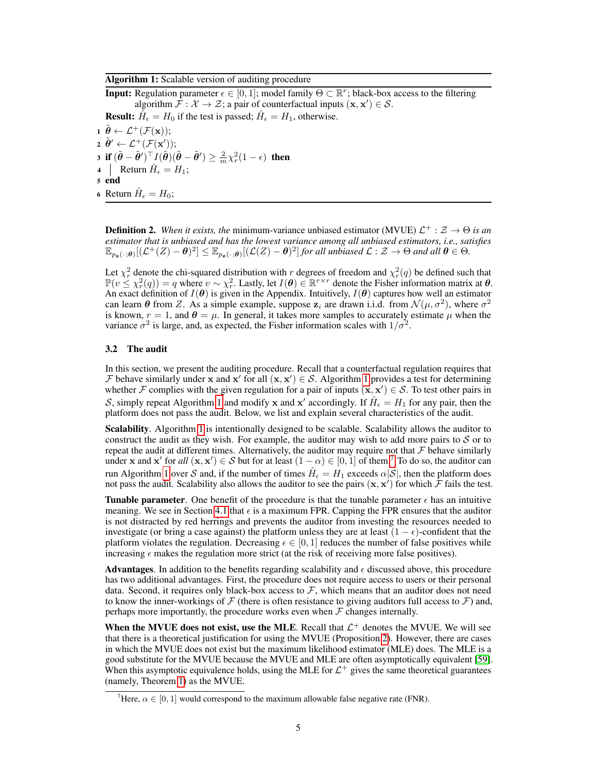### Algorithm 1: Scalable version of auditing procedure

**Input:** Regulation parameter  $\epsilon \in [0, 1]$ ; model family  $\Theta \subset \mathbb{R}^r$ ; black-box access to the filtering algorithm  $\mathcal{F}: \mathcal{X} \to \mathcal{Z}$ ; a pair of counterfactual inputs  $(x, x') \in \mathcal{S}$ . **Result:**  $\hat{H}_{\epsilon} = H_0$  if the test is passed;  $\hat{H}_{\epsilon} = H_1$ , otherwise.  $1 \tilde{\theta} \leftarrow \mathcal{L}^+(\mathcal{F}(\mathbf{x}));$ 

<span id="page-4-2"></span> $\boldsymbol{2} \ \tilde{\boldsymbol{\theta}}' \leftarrow \mathcal{L}^{+}(\mathcal{F}(\mathbf{x}'));$ 3 if  $(\tilde{\theta} - \tilde{\theta}')^{\top} I(\tilde{\theta}) (\tilde{\theta} - \tilde{\theta}') \ge \frac{2}{m} \chi_r^2 (1 - \epsilon)$  then 4 Return  $\hat{H}_{\epsilon} = H_1$ ; 5 end

<span id="page-4-0"></span>6 Return  $\hat{H}_{\epsilon} = H_0$ ;

**Definition 2.** When it exists, the minimum-variance unbiased estimator (MVUE)  $\mathcal{L}^+$  :  $\mathcal{Z} \to \Theta$  is an *estimator that is unbiased and has the lowest variance among all unbiased estimators, i.e., satisfies*  $\mathbb{E}_{p_{\mathbf{z}}(\cdot;\boldsymbol{\theta})}[(\mathcal{L}^{+}(Z)-\boldsymbol{\theta})^{2}] \leq \mathbb{E}_{p_{\mathbf{z}}(\cdot;\boldsymbol{\theta})}[(\mathcal{L}(Z)-\boldsymbol{\theta})^{2}]$  for all unbiased  $\mathcal{L}: \mathcal{Z} \to \Theta$  and all  $\boldsymbol{\theta} \in \Theta$ .

Let  $\chi^2_r$  denote the chi-squared distribution with r degrees of freedom and  $\chi^2_r(q)$  be defined such that  $\mathbb{P}(v \leq \chi^2_r(q)) = q$  where  $v \sim \chi^2_r$ . Lastly, let  $I(\theta) \in \mathbb{R}^{r \times r}$  denote the Fisher information matrix at  $\theta$ . An exact definition of  $I(\theta)$  is given in the Appendix. Intuitively,  $I(\theta)$  captures how well an estimator can learn  $\theta$  from Z. As a simple example, suppose  $z_i$  are drawn i.i.d. from  $\mathcal{N}(\mu, \sigma^2)$ , where  $\sigma^2$ is known,  $r = 1$ , and  $\theta = \mu$ . In general, it takes more samples to accurately estimate  $\mu$  when the variance  $\sigma^2$  is large, and, as expected, the Fisher information scales with  $1/\sigma^2$ .

## 3.2 The audit

In this section, we present the auditing procedure. Recall that a counterfactual regulation requires that F behave similarly under x and x' for all  $(x, x') \in S$ . Algorithm [1](#page-4-0) provides a test for determining whether F complies with the given regulation for a pair of inputs  $(x, x') \in S$ . To test other pairs in S, simply repeat Algorithm [1](#page-4-0) and modify x and x' accordingly. If  $\hat{H}_{\epsilon} = H_1$  for any pair, then the platform does not pass the audit. Below, we list and explain several characteristics of the audit.

Scalability. Algorithm [1](#page-4-0) is intentionally designed to be scalable. Scalability allows the auditor to construct the audit as they wish. For example, the auditor may wish to add more pairs to  $S$  or to repeat the audit at different times. Alternatively, the auditor may require not that  $\mathcal F$  behave similarly under x and x' for all  $(x, x') \in S$  but for at least  $(1 - \alpha) \in [0, 1]$  of them.<sup>[7](#page-4-1)</sup> To do so, the auditor can run Algorithm [1](#page-4-0) over S and, if the number of times  $\hat{H}_{\epsilon} = H_1$  exceeds  $\alpha |\mathcal{S}|$ , then the platform does not pass the audit. Scalability also allows the auditor to see the pairs  $(x, x')$  for which  $\tilde{\mathcal{F}}$  fails the test.

**Tunable parameter.** One benefit of the procedure is that the tunable parameter  $\epsilon$  has an intuitive meaning. We see in Section [4.1](#page-5-2) that  $\epsilon$  is a maximum FPR. Capping the FPR ensures that the auditor is not distracted by red herrings and prevents the auditor from investing the resources needed to investigate (or bring a case against) the platform unless they are at least  $(1 - \epsilon)$ -confident that the platform violates the regulation. Decreasing  $\epsilon \in [0,1]$  reduces the number of false positives while increasing  $\epsilon$  makes the regulation more strict (at the risk of receiving more false positives).

**Advantages**. In addition to the benefits regarding scalability and  $\epsilon$  discussed above, this procedure has two additional advantages. First, the procedure does not require access to users or their personal data. Second, it requires only black-box access to  $F$ , which means that an auditor does not need to know the inner-workings of  $\mathcal F$  (there is often resistance to giving auditors full access to  $\mathcal F$ ) and, perhaps more importantly, the procedure works even when  $\mathcal F$  changes internally.

When the MVUE does not exist, use the MLE. Recall that  $\mathcal{L}^+$  denotes the MVUE. We will see that there is a theoretical justification for using the MVUE (Proposition [2\)](#page-6-0). However, there are cases in which the MVUE does not exist but the maximum likelihood estimator (MLE) does. The MLE is a good substitute for the MVUE because the MVUE and MLE are often asymptotically equivalent [\[59\]](#page-13-1). When this asymptotic equivalence holds, using the MLE for  $\mathcal{L}^+$  gives the same theoretical guarantees (namely, Theorem [1\)](#page-5-1) as the MVUE.

<span id="page-4-1"></span><sup>&</sup>lt;sup>7</sup>Here,  $\alpha \in [0, 1]$  would correspond to the maximum allowable false negative rate (FNR).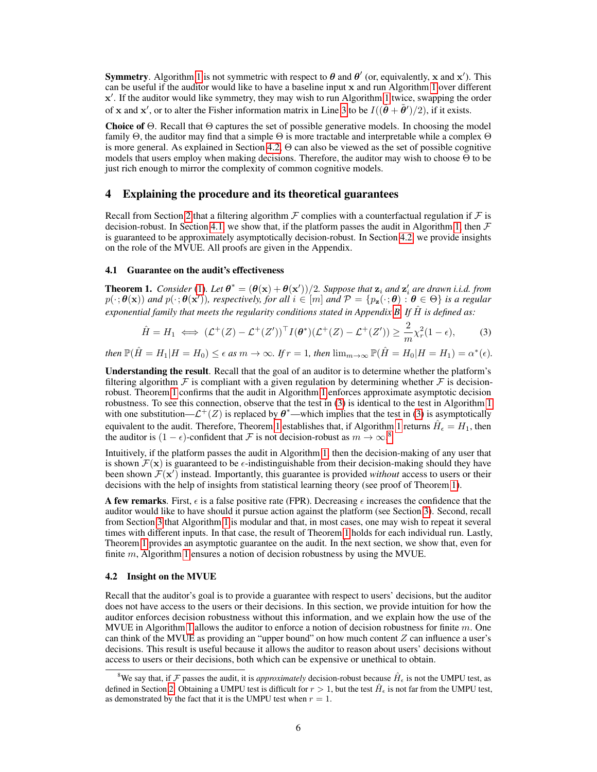**Symmetry**. Algorithm [1](#page-4-0) is not symmetric with respect to  $\theta$  and  $\theta'$  (or, equivalently, x and x'). This can be useful if the auditor would like to have a baseline input x and run Algorithm [1](#page-4-0) over different x'. If the auditor would like symmetry, they may wish to run Algorithm [1](#page-4-0) twice, swapping the order of x and x', or to alter the Fisher information matrix in Line [3](#page-4-2) to be  $I((\tilde{\theta} + \tilde{\theta}')/2)$ , if it exists.

Choice of  $\Theta$ . Recall that  $\Theta$  captures the set of possible generative models. In choosing the model family  $\Theta$ , the auditor may find that a simple  $\Theta$  is more tractable and interpretable while a complex  $\Theta$ is more general. As explained in Section [4.2,](#page-5-3) Θ can also be viewed as the set of possible cognitive models that users employ when making decisions. Therefore, the auditor may wish to choose  $\Theta$  to be just rich enough to mirror the complexity of common cognitive models.

# <span id="page-5-0"></span>4 Explaining the procedure and its theoretical guarantees

Recall from Section [2](#page-1-0) that a filtering algorithm  $\mathcal F$  complies with a counterfactual regulation if  $\mathcal F$  is decision-robust. In Section [4.1,](#page-5-2) we show that, if the platform passes the audit in Algorithm [1,](#page-4-0) then  $\mathcal F$ is guaranteed to be approximately asymptotically decision-robust. In Section [4.2,](#page-5-3) we provide insights on the role of the MVUE. All proofs are given in the Appendix.

## <span id="page-5-2"></span>4.1 Guarantee on the audit's effectiveness

<span id="page-5-1"></span>**Theorem 1.** *Consider* [\(1\)](#page-2-1). Let  $\theta^* = (\theta(\mathbf{x}) + \theta(\mathbf{x}'))/2$ . Suppose that  $\mathbf{z}_i$  and  $\mathbf{z}'_i$  are drawn i.i.d. from  $p(\cdot;\theta(\mathbf{x}))$  and  $p(\cdot;\theta(\mathbf{x}'))$ , respectively, for all  $i \in [m]$  and  $\mathcal{P} = \{p_{\mathbf{z}}(\cdot;\theta) : \theta \in \Theta\}$  is a regular *exponential family that meets the regularity conditions stated in Appendix [B.](#page-17-0) If* Hˆ *is defined as:*

<span id="page-5-4"></span>
$$
\hat{H} = H_1 \iff (\mathcal{L}^+(Z) - \mathcal{L}^+(Z'))^\top I(\boldsymbol{\theta}^*)(\mathcal{L}^+(Z) - \mathcal{L}^+(Z')) \ge \frac{2}{m}\chi^2_r(1-\epsilon),\tag{3}
$$

 $t$ hen  $\mathbb{P}(\hat{H} = H_1|H = H_0) \leq \epsilon$  as  $m \to \infty$ . If  $r = 1$ , then  $\lim_{m \to \infty} \mathbb{P}(\hat{H} = H_0|H = H_1) = \alpha^*(\epsilon)$ .

Understanding the result. Recall that the goal of an auditor is to determine whether the platform's filtering algorithm  $\mathcal F$  is compliant with a given regulation by determining whether  $\mathcal F$  is decisionrobust. Theorem [1](#page-5-1) confirms that the audit in Algorithm [1](#page-4-0) enforces approximate asymptotic decision robustness. To see this connection, observe that the test in [\(3\)](#page-5-4) is identical to the test in Algorithm [1](#page-4-0) with one substitution— $\mathcal{L}^+(Z)$  is replaced by  $\theta^*$ —which implies that the test in [\(3\)](#page-5-4) is asymptotically equivalent to the audit. Therefore, Theorem [1](#page-4-0) establishes that, if Algorithm 1 returns  $\hat{H}_{\epsilon} = H_1$ , then the auditor is  $(1 - \epsilon)$ -confident that F is not decision-robust as  $m \to \infty$ .<sup>[8](#page-5-5)</sup>

Intuitively, if the platform passes the audit in Algorithm [1,](#page-4-0) then the decision-making of any user that is shown  $\mathcal{F}(\mathbf{x})$  is guaranteed to be  $\epsilon$ -indistinguishable from their decision-making should they have been shown  $\mathcal{F}(\mathbf{x}')$  instead. Importantly, this guarantee is provided *without* access to users or their decisions with the help of insights from statistical learning theory (see proof of Theorem [1\)](#page-5-1).

A few remarks. First,  $\epsilon$  is a false positive rate (FPR). Decreasing  $\epsilon$  increases the confidence that the auditor would like to have should it pursue action against the platform (see Section [3\)](#page-3-0). Second, recall from Section [3](#page-3-0) that Algorithm [1](#page-4-0) is modular and that, in most cases, one may wish to repeat it several times with different inputs. In that case, the result of Theorem [1](#page-5-1) holds for each individual run. Lastly, Theorem [1](#page-5-1) provides an asymptotic guarantee on the audit. In the next section, we show that, even for finite  $m$ , Algorithm [1](#page-4-0) ensures a notion of decision robustness by using the MVUE.

## <span id="page-5-3"></span>4.2 Insight on the MVUE

Recall that the auditor's goal is to provide a guarantee with respect to users' decisions, but the auditor does not have access to the users or their decisions. In this section, we provide intuition for how the auditor enforces decision robustness without this information, and we explain how the use of the MVUE in Algorithm [1](#page-4-0) allows the auditor to enforce a notion of decision robustness for finite  $m$ . One can think of the MVUE as providing an "upper bound" on how much content  $Z$  can influence a user's decisions. This result is useful because it allows the auditor to reason about users' decisions without access to users or their decisions, both which can be expensive or unethical to obtain.

<span id="page-5-5"></span><sup>&</sup>lt;sup>8</sup>We say that, if  $\mathcal F$  passes the audit, it is *approximately* decision-robust because  $\hat H_\epsilon$  is not the UMPU test, as defined in Section [2.](#page-1-0) Obtaining a UMPU test is difficult for  $r > 1$ , but the test  $\hat{H}_{\epsilon}$  is not far from the UMPU test, as demonstrated by the fact that it is the UMPU test when  $r = 1$ .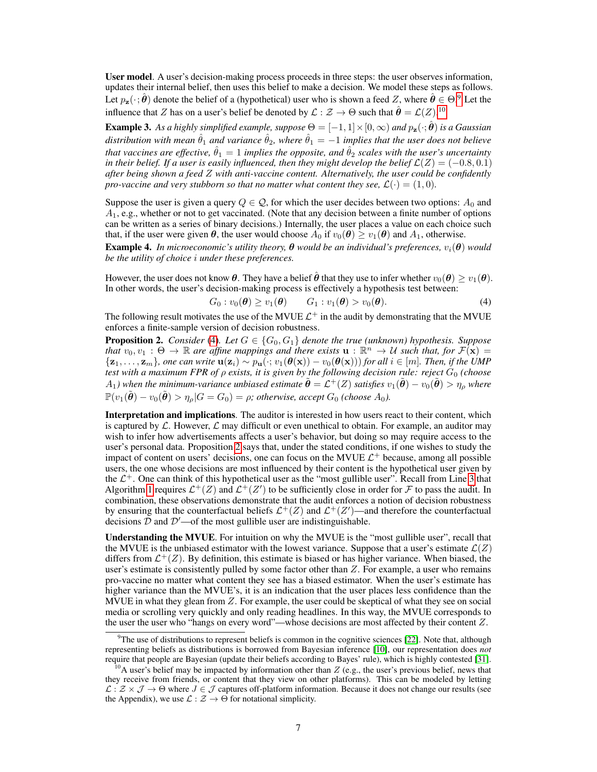User model. A user's decision-making process proceeds in three steps: the user observes information, updates their internal belief, then uses this belief to make a decision. We model these steps as follows. Let  $p_z(\cdot; \hat{\theta})$  denote the belief of a (hypothetical) user who is shown a feed Z, where  $\hat{\theta} \in \Theta$ .<sup>[9](#page-6-1)</sup> Let the influence that Z has on a user's belief be denoted by  $\mathcal{L}: \mathcal{Z} \to \Theta$  such that  $\hat{\theta} = \mathcal{L}(Z)$ .<sup>[10](#page-6-2)</sup>

**Example 3.** As a highly simplified example, suppose  $\Theta = [-1, 1] \times [0, \infty)$  and  $p_z(\cdot; \hat{\theta})$  is a Gaussian *distribution with mean*  $\hat{\theta}_1$  *and variance*  $\hat{\theta}_2$ *, where*  $\hat{\theta}_1 = -1$  *implies that the user does not believe that vaccines are effective,*  $\hat{\theta}_1 = 1$  *implies the opposite, and*  $\hat{\theta}_2$  *scales with the user's uncertainty in their belief. If a user is easily influenced, then they might develop the belief*  $\mathcal{L}(Z) = (-0.8, 0.1)$ *after being shown a feed* Z *with anti-vaccine content. Alternatively, the user could be confidently pro-vaccine and very stubborn so that no matter what content they see,*  $\mathcal{L}(\cdot) = (1, 0)$ *.* 

Suppose the user is given a query  $Q \in \mathcal{Q}$ , for which the user decides between two options:  $A_0$  and  $A_1$ , e.g., whether or not to get vaccinated. (Note that any decision between a finite number of options can be written as a series of binary decisions.) Internally, the user places a value on each choice such that, if the user were given  $\theta$ , the user would choose  $A_0$  if  $v_0(\theta) \ge v_1(\theta)$  and  $A_1$ , otherwise.

**Example 4.** In microeconomic's utility theory,  $\theta$  would be an individual's preferences,  $v_i(\theta)$  would *be the utility of choice* i *under these preferences.*

However, the user does not know  $\theta$ . They have a belief  $\hat{\theta}$  that they use to infer whether  $v_0(\theta) \ge v_1(\theta)$ . In other words, the user's decision-making process is effectively a hypothesis test between:

<span id="page-6-3"></span>
$$
G_0: v_0(\boldsymbol{\theta}) \ge v_1(\boldsymbol{\theta}) \qquad G_1: v_1(\boldsymbol{\theta}) > v_0(\boldsymbol{\theta}). \tag{4}
$$

The following result motivates the use of the MVUE  $\mathcal{L}^+$  in the audit by demonstrating that the MVUE enforces a finite-sample version of decision robustness.

<span id="page-6-0"></span>**Proposition 2.** *Consider* [\(4\)](#page-6-3)*.* Let  $G \in \{G_0, G_1\}$  denote the true (unknown) hypothesis. Suppose *that*  $v_0, v_1 : \Theta \to \mathbb{R}$  are affine mappings and there exists  $\mathbf{u} : \mathbb{R}^n \to U$  such that, for  $\mathcal{F}(\mathbf{x}) =$  ${x_1, \ldots, z_m}$ *, one can write*  $u(z_i) \sim p_u(\cdot; v_1(\theta(x)) - v_0(\theta(x)))$  for all  $i \in [m]$ . Then, if the UMP *test with a maximum FPR of* ρ *exists, it is given by the following decision rule: reject* G<sup>0</sup> *(choose*  $A_1$ ) when the minimum-variance unbiased estimate  $\tilde{\bm{\theta}} = \mathcal{L}^+(Z)$  satisfies  $v_1(\tilde{\bm{\theta}}) - v_0(\tilde{\bm{\theta}}) > \eta_\rho$  where  $\mathbb{P}(v_1(\tilde{\boldsymbol{\theta}}) - v_0(\tilde{\boldsymbol{\theta}}) > \eta_\rho | G = G_0) = \rho$ ; otherwise, accept  $G_0$  *(choose*  $A_0$ ).

Interpretation and implications. The auditor is interested in how users react to their content, which is captured by  $\mathcal L$ . However,  $\mathcal L$  may difficult or even unethical to obtain. For example, an auditor may wish to infer how advertisements affects a user's behavior, but doing so may require access to the user's personal data. Proposition [2](#page-6-0) says that, under the stated conditions, if one wishes to study the impact of content on users' decisions, one can focus on the MVUE  $\mathcal{L}^+$  because, among all possible users, the one whose decisions are most influenced by their content is the hypothetical user given by the  $\mathcal{L}^+$ . One can think of this hypothetical user as the "most gullible user". Recall from Line [3](#page-4-2) that Algorithm [1](#page-4-0) requires  $\mathcal{L}^+(Z)$  and  $\mathcal{L}^+(Z')$  to be sufficiently close in order for  $\mathcal F$  to pass the audit. In combination, these observations demonstrate that the audit enforces a notion of decision robustness by ensuring that the counterfactual beliefs  $\mathcal{L}^+(Z)$  and  $\mathcal{L}^+(Z')$ —and therefore the counterfactual decisions D and  $\mathcal{D}'$  – of the most gullible user are indistinguishable.

Understanding the MVUE. For intuition on why the MVUE is the "most gullible user", recall that the MVUE is the unbiased estimator with the lowest variance. Suppose that a user's estimate  $\mathcal{L}(Z)$ differs from  $\mathcal{L}^+(Z)$ . By definition, this estimate is biased or has higher variance. When biased, the user's estimate is consistently pulled by some factor other than  $Z$ . For example, a user who remains pro-vaccine no matter what content they see has a biased estimator. When the user's estimate has higher variance than the MVUE's, it is an indication that the user places less confidence than the MVUE in what they glean from  $Z$ . For example, the user could be skeptical of what they see on social media or scrolling very quickly and only reading headlines. In this way, the MVUE corresponds to the user the user who "hangs on every word"—whose decisions are most affected by their content Z.

<span id="page-6-1"></span> $9$ The use of distributions to represent beliefs is common in the cognitive sciences [\[22\]](#page-11-2). Note that, although representing beliefs as distributions is borrowed from Bayesian inference [\[10\]](#page-10-0), our representation does *not* require that people are Bayesian (update their beliefs according to Bayes' rule), which is highly contested [\[31\]](#page-11-3).

<span id="page-6-2"></span> $10A$  user's belief may be impacted by information other than Z (e.g., the user's previous belief, news that they receive from friends, or content that they view on other platforms). This can be modeled by letting  $\mathcal{L}: \mathcal{Z} \times \mathcal{J} \to \Theta$  where  $J \in \mathcal{J}$  captures off-platform information. Because it does not change our results (see the Appendix), we use  $\mathcal{L} : \mathcal{Z} \to \Theta$  for notational simplicity.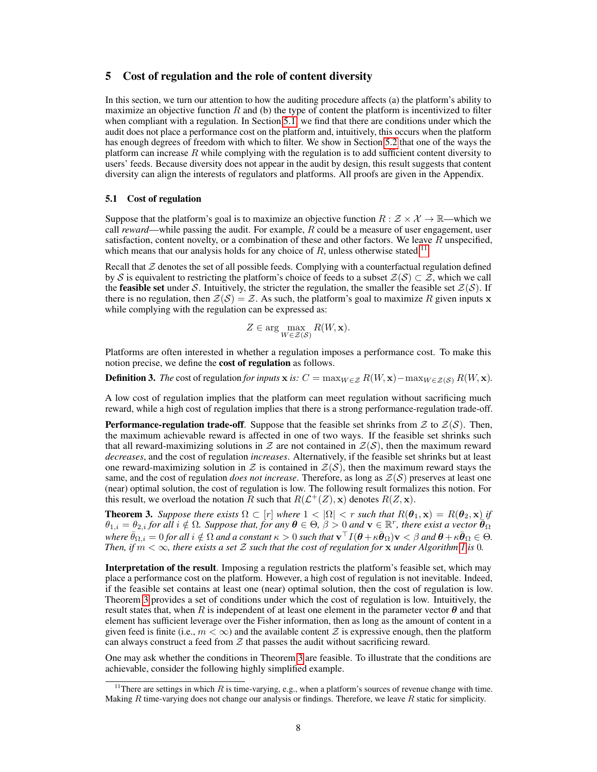## <span id="page-7-1"></span>5 Cost of regulation and the role of content diversity

In this section, we turn our attention to how the auditing procedure affects (a) the platform's ability to maximize an objective function R and (b) the type of content the platform is incentivized to filter when compliant with a regulation. In Section [5.1,](#page-7-0) we find that there are conditions under which the audit does not place a performance cost on the platform and, intuitively, this occurs when the platform has enough degrees of freedom with which to filter. We show in Section [5.2](#page-8-0) that one of the ways the platform can increase  $R$  while complying with the regulation is to add sufficient content diversity to users' feeds. Because diversity does not appear in the audit by design, this result suggests that content diversity can align the interests of regulators and platforms. All proofs are given in the Appendix.

### <span id="page-7-0"></span>5.1 Cost of regulation

Suppose that the platform's goal is to maximize an objective function  $R : \mathcal{Z} \times \mathcal{X} \to \mathbb{R}$ —which we call *reward*—while passing the audit. For example, R could be a measure of user engagement, user satisfaction, content novelty, or a combination of these and other factors. We leave  $R$  unspecified, which means that our analysis holds for any choice of  $R$ , unless otherwise stated.<sup>[11](#page-7-2)</sup>

Recall that  $Z$  denotes the set of all possible feeds. Complying with a counterfactual regulation defined by S is equivalent to restricting the platform's choice of feeds to a subset  $\mathcal{Z}(S) \subset \mathcal{Z}$ , which we call the **feasible set** under S. Intuitively, the stricter the regulation, the smaller the feasible set  $\mathcal{Z}(S)$ . If there is no regulation, then  $\mathcal{Z}(\mathcal{S}) = \mathcal{Z}$ . As such, the platform's goal to maximize R given inputs x while complying with the regulation can be expressed as:

$$
Z \in \arg\max_{W \in \mathcal{Z}(\mathcal{S})} R(W, \mathbf{x}).
$$

Platforms are often interested in whether a regulation imposes a performance cost. To make this notion precise, we define the cost of regulation as follows.

**Definition 3.** *The* cost of regulation *for inputs* x *is:*  $C = \max_{W \in \mathcal{Z}} R(W, \mathbf{x}) - \max_{W \in \mathcal{Z}(S)} R(W, \mathbf{x})$ .

A low cost of regulation implies that the platform can meet regulation without sacrificing much reward, while a high cost of regulation implies that there is a strong performance-regulation trade-off.

**Performance-regulation trade-off.** Suppose that the feasible set shrinks from  $\mathcal{Z}$  to  $\mathcal{Z}(S)$ . Then, the maximum achievable reward is affected in one of two ways. If the feasible set shrinks such that all reward-maximizing solutions in Z are not contained in  $\mathcal{Z}(S)$ , then the maximum reward *decreases*, and the cost of regulation *increases*. Alternatively, if the feasible set shrinks but at least one reward-maximizing solution in Z is contained in  $\mathcal{Z}(S)$ , then the maximum reward stays the same, and the cost of regulation *does not increase*. Therefore, as long as  $\mathcal{Z}(S)$  preserves at least one (near) optimal solution, the cost of regulation is low. The following result formalizes this notion. For this result, we overload the notation R such that  $R(\mathcal{L}^+(Z), \mathbf{x})$  denotes  $R(Z, \mathbf{x})$ .

<span id="page-7-3"></span>**Theorem 3.** Suppose there exists  $\Omega \subset [r]$  where  $1 < |\Omega| < r$  such that  $R(\theta_1, \mathbf{x}) = R(\theta_2, \mathbf{x})$  if  $\theta_{1,i} = \theta_{2,i}$  for all  $i \notin \Omega$ . Suppose that, for any  $\boldsymbol{\theta} \in \Theta$ ,  $\beta > 0$  and  $\mathbf{v} \in \mathbb{R}^r$ , there exist a vector  $\boldsymbol{\theta}_{\Omega}$  $\bar{\theta}_{\Omega,i}=0$  for all  $i\notin \Omega$  and a constant  $\kappa>0$  such that  $\mathbf{v}^\top I(\bm{\theta}+\kappa\bar{\bm{\theta}}_\Omega)\mathbf{v}<\beta$  and  $\bm{\theta}+\kappa\bar{\bm{\theta}}_\Omega\in\Theta.$ *Then, if*  $m < \infty$ *, there exists a set* Z such that the cost of regulation for x under Algorithm [1](#page-4-0) is 0*.* 

Interpretation of the result. Imposing a regulation restricts the platform's feasible set, which may place a performance cost on the platform. However, a high cost of regulation is not inevitable. Indeed, if the feasible set contains at least one (near) optimal solution, then the cost of regulation is low. Theorem [3](#page-7-3) provides a set of conditions under which the cost of regulation is low. Intuitively, the result states that, when R is independent of at least one element in the parameter vector  $\theta$  and that element has sufficient leverage over the Fisher information, then as long as the amount of content in a given feed is finite (i.e.,  $m < \infty$ ) and the available content Z is expressive enough, then the platform can always construct a feed from  $Z$  that passes the audit without sacrificing reward.

One may ask whether the conditions in Theorem [3](#page-7-3) are feasible. To illustrate that the conditions are achievable, consider the following highly simplified example.

<span id="page-7-2"></span><sup>&</sup>lt;sup>11</sup>There are settings in which  $R$  is time-varying, e.g., when a platform's sources of revenue change with time. Making  $R$  time-varying does not change our analysis or findings. Therefore, we leave  $R$  static for simplicity.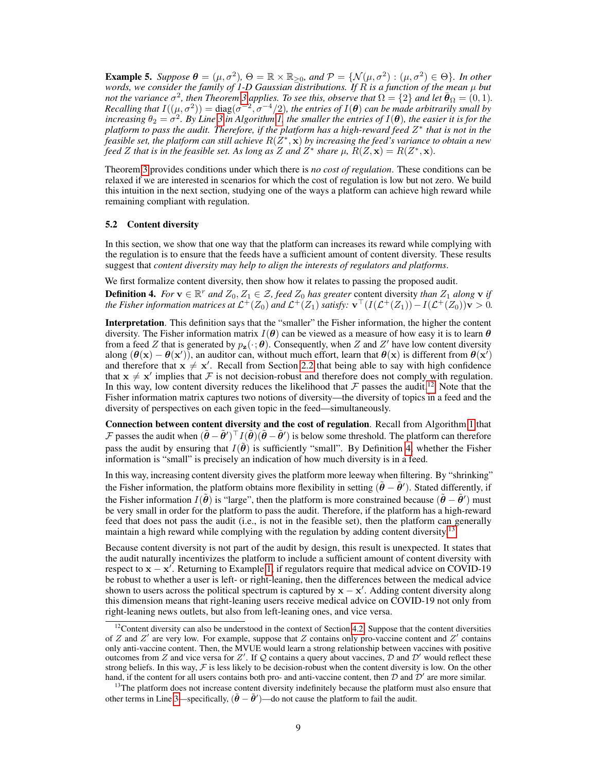<span id="page-8-4"></span>**Example 5.** Suppose  $\theta = (\mu, \sigma^2)$ ,  $\Theta = \mathbb{R} \times \mathbb{R}_{\geq 0}$ , and  $\mathcal{P} = \{ \mathcal{N}(\mu, \sigma^2) : (\mu, \sigma^2) \in \Theta \}$ . In other *words, we consider the family of 1-D Gaussian distributions. If* R *is a function of the mean* µ *but not the variance*  $\sigma^2$ , then Theorem [3](#page-7-3) applies. To see this, observe that  $\Omega = \{2\}$  and let  $\bar{\theta}_{\Omega} = (0, 1)$ . *Recalling that*  $I((\mu, \sigma^2)) = \text{diag}(\sigma^{-2}, \sigma^{-4}/2)$ , the entries of  $I(\theta)$  can be made arbitrarily small by increasing  $\theta_2 = \sigma^2$ . By Line [3](#page-4-2) in Algorithm [1,](#page-4-0) the smaller the entries of  $I(\theta)$ , the easier it is for the *platform to pass the audit. Therefore, if the platform has a high-reward feed* Z ∗ *that is not in the*  $f$ easible set, the platform can still achieve  $R(\tilde{Z}^*,{\bf x})$  by increasing the feed's variance to obtain a new *feed Z that is in the feasible set. As long as Z and*  $Z^*$  *share*  $\mu$ *,*  $R(Z, \mathbf{x}) = R(Z^*, \mathbf{x})$ *.* 

Theorem [3](#page-7-3) provides conditions under which there is *no cost of regulation*. These conditions can be relaxed if we are interested in scenarios for which the cost of regulation is low but not zero. We build this intuition in the next section, studying one of the ways a platform can achieve high reward while remaining compliant with regulation.

#### <span id="page-8-0"></span>5.2 Content diversity

In this section, we show that one way that the platform can increases its reward while complying with the regulation is to ensure that the feeds have a sufficient amount of content diversity. These results suggest that *content diversity may help to align the interests of regulators and platforms*.

We first formalize content diversity, then show how it relates to passing the proposed audit.

<span id="page-8-2"></span>**Definition 4.** For  $\mathbf{v} \in \mathbb{R}^r$  and  $Z_0, Z_1 \in \mathcal{Z}$ , feed  $Z_0$  has greater content diversity *than*  $Z_1$  along  $\mathbf{v}$  if the Fisher information matrices at  $\mathcal{L}^+(Z_0)$  and  $\mathcal{L}^+(Z_1)$  satisfy:  $\mathbf{v}^\top(I(\mathcal{L}^+(Z_1))-I(\mathcal{L}^+(Z_0))\mathbf{v}>0.$ 

Interpretation. This definition says that the "smaller" the Fisher information, the higher the content diversity. The Fisher information matrix  $I(\theta)$  can be viewed as a measure of how easy it is to learn  $\theta$ from a feed Z that is generated by  $p_{\mathbf{z}}(\cdot;\theta)$ . Consequently, when Z and Z' have low content diversity along  $(\theta(x) - \theta(x'))$ , an auditor can, without much effort, learn that  $\theta(x)$  is different from  $\theta(x')$ and therefore that  $x \neq x'$ . Recall from Section [2.2](#page-2-2) that being able to say with high confidence that  $x \neq x'$  implies that F is not decision-robust and therefore does not comply with regulation. In this way, low content diversity reduces the likelihood that  $\mathcal F$  passes the audit.<sup>[12](#page-8-1)</sup> Note that the Fisher information matrix captures two notions of diversity—the diversity of topics in a feed and the diversity of perspectives on each given topic in the feed—simultaneously.

Connection between content diversity and the cost of regulation. Recall from Algorithm [1](#page-4-0) that  $\mathcal F$  passes the audit when  $(\tilde{\theta} - \tilde{\theta}')^\top I(\tilde{\theta})(\tilde{\theta} - \tilde{\theta}')$  is below some threshold. The platform can therefore pass the audit by ensuring that  $I(\vec{\theta})$  is sufficiently "small". By Definition [4,](#page-8-2) whether the Fisher information is "small" is precisely an indication of how much diversity is in a feed.

In this way, increasing content diversity gives the platform more leeway when filtering. By "shrinking" the Fisher information, the platform obtains more flexibility in setting  $(\tilde{\theta} - \tilde{\theta}')$ . Stated differently, if the Fisher information  $I(\tilde{\theta})$  is "large", then the platform is more constrained because  $(\tilde{\theta} - \tilde{\theta}')$  must be very small in order for the platform to pass the audit. Therefore, if the platform has a high-reward feed that does not pass the audit (i.e., is not in the feasible set), then the platform can generally maintain a high reward while complying with the regulation by adding content diversity.<sup>[13](#page-8-3)</sup>

Because content diversity is not part of the audit by design, this result is unexpected. It states that the audit naturally incentivizes the platform to include a sufficient amount of content diversity with respect to  $x - x'$ . Returning to Example [1,](#page-2-3) if regulators require that medical advice on COVID-19 be robust to whether a user is left- or right-leaning, then the differences between the medical advice shown to users across the political spectrum is captured by  $x - x'$ . Adding content diversity along this dimension means that right-leaning users receive medical advice on COVID-19 not only from right-leaning news outlets, but also from left-leaning ones, and vice versa.

<span id="page-8-1"></span> $12$ Content diversity can also be understood in the context of Section [4.2.](#page-5-3) Suppose that the content diversities of Z and Z' are very low. For example, suppose that Z contains only pro-vaccine content and Z' contains only anti-vaccine content. Then, the MVUE would learn a strong relationship between vaccines with positive outcomes from Z and vice versa for Z'. If Q contains a query about vaccines,  $D$  and  $D'$  would reflect these strong beliefs. In this way,  $F$  is less likely to be decision-robust when the content diversity is low. On the other hand, if the content for all users contains both pro- and anti-vaccine content, then  $D$  and  $D'$  are more similar.

<span id="page-8-3"></span> $13$ The platform does not increase content diversity indefinitely because the platform must also ensure that other terms in Line [3—](#page-4-2)specifically,  $(\tilde{\theta} - \tilde{\theta}')$ —do not cause the platform to fail the audit.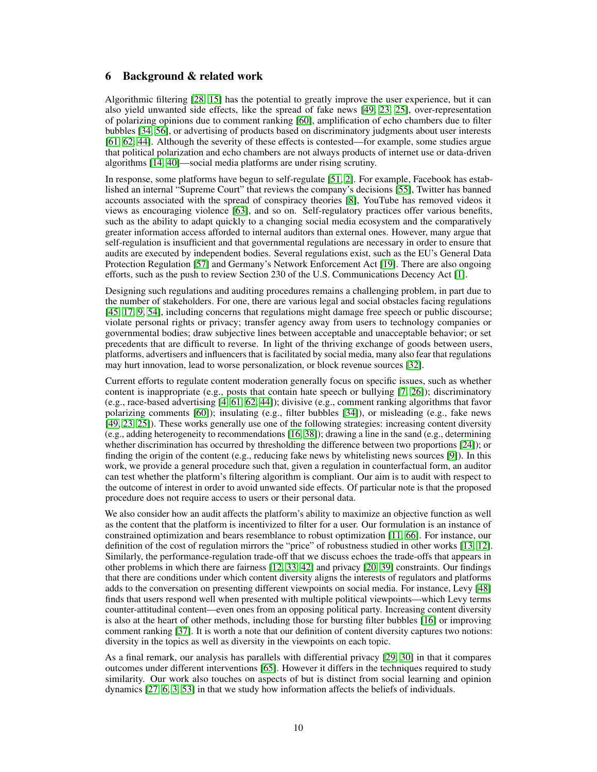# <span id="page-9-0"></span>6 Background & related work

Algorithmic filtering [\[28,](#page-11-4) [15\]](#page-10-1) has the potential to greatly improve the user experience, but it can also yield unwanted side effects, like the spread of fake news [\[49,](#page-12-6) [23,](#page-11-5) [25\]](#page-11-6), over-representation of polarizing opinions due to comment ranking [\[60\]](#page-13-2), amplification of echo chambers due to filter bubbles [\[34,](#page-11-7) [56\]](#page-12-7), or advertising of products based on discriminatory judgments about user interests [\[61,](#page-13-3) [62,](#page-13-4) [44\]](#page-12-8). Although the severity of these effects is contested—for example, some studies argue that political polarization and echo chambers are not always products of internet use or data-driven algorithms [\[14,](#page-10-2) [40\]](#page-12-9)—social media platforms are under rising scrutiny.

In response, some platforms have begun to self-regulate [\[51,](#page-12-10) [2\]](#page-10-3). For example, Facebook has established an internal "Supreme Court" that reviews the company's decisions [\[55\]](#page-12-11), Twitter has banned accounts associated with the spread of conspiracy theories [\[8\]](#page-10-4), YouTube has removed videos it views as encouraging violence [\[63\]](#page-13-5), and so on. Self-regulatory practices offer various benefits, such as the ability to adapt quickly to a changing social media ecosystem and the comparatively greater information access afforded to internal auditors than external ones. However, many argue that self-regulation is insufficient and that governmental regulations are necessary in order to ensure that audits are executed by independent bodies. Several regulations exist, such as the EU's General Data Protection Regulation [\[57\]](#page-12-12) and Germany's Network Enforcement Act [\[19\]](#page-11-8). There are also ongoing efforts, such as the push to review Section 230 of the U.S. Communications Decency Act [\[1\]](#page-10-5).

Designing such regulations and auditing procedures remains a challenging problem, in part due to the number of stakeholders. For one, there are various legal and social obstacles facing regulations [\[45,](#page-12-13) [17,](#page-10-6) [9,](#page-10-7) [54\]](#page-12-14), including concerns that regulations might damage free speech or public discourse; violate personal rights or privacy; transfer agency away from users to technology companies or governmental bodies; draw subjective lines between acceptable and unacceptable behavior; or set precedents that are difficult to reverse. In light of the thriving exchange of goods between users, platforms, advertisers and influencers that is facilitated by social media, many also fear that regulations may hurt innovation, lead to worse personalization, or block revenue sources [\[32\]](#page-11-9).

Current efforts to regulate content moderation generally focus on specific issues, such as whether content is inappropriate (e.g., posts that contain hate speech or bullying [\[7,](#page-10-8) [26\]](#page-11-10)); discriminatory (e.g., race-based advertising [\[4,](#page-10-9) [61,](#page-13-3) [62,](#page-13-4) [44\]](#page-12-8)); divisive (e.g., comment ranking algorithms that favor polarizing comments [\[60\]](#page-13-2)); insulating (e.g., filter bubbles [\[34\]](#page-11-7)), or misleading (e.g., fake news [\[49,](#page-12-6) [23,](#page-11-5) [25\]](#page-11-6)). These works generally use one of the following strategies: increasing content diversity (e.g., adding heterogeneity to recommendations [\[16,](#page-10-10) [38\]](#page-12-15)); drawing a line in the sand (e.g., determining whether discrimination has occurred by thresholding the difference between two proportions [\[24\]](#page-11-11)); or finding the origin of the content (e.g., reducing fake news by whitelisting news sources [\[9\]](#page-10-7)). In this work, we provide a general procedure such that, given a regulation in counterfactual form, an auditor can test whether the platform's filtering algorithm is compliant. Our aim is to audit with respect to the outcome of interest in order to avoid unwanted side effects. Of particular note is that the proposed procedure does not require access to users or their personal data.

We also consider how an audit affects the platform's ability to maximize an objective function as well as the content that the platform is incentivized to filter for a user. Our formulation is an instance of constrained optimization and bears resemblance to robust optimization [\[11,](#page-10-11) [66\]](#page-13-6). For instance, our definition of the cost of regulation mirrors the "price" of robustness studied in other works [\[13,](#page-10-12) [12\]](#page-10-13). Similarly, the performance-regulation trade-off that we discuss echoes the trade-offs that appears in other problems in which there are fairness [\[12,](#page-10-13) [33,](#page-11-12) [42\]](#page-12-16) and privacy [\[20,](#page-11-13) [39\]](#page-12-17) constraints. Our findings that there are conditions under which content diversity aligns the interests of regulators and platforms adds to the conversation on presenting different viewpoints on social media. For instance, Levy [\[48\]](#page-12-18) finds that users respond well when presented with multiple political viewpoints—which Levy terms counter-attitudinal content—even ones from an opposing political party. Increasing content diversity is also at the heart of other methods, including those for bursting filter bubbles [\[16\]](#page-10-10) or improving comment ranking [\[37\]](#page-11-14). It is worth a note that our definition of content diversity captures two notions: diversity in the topics as well as diversity in the viewpoints on each topic.

As a final remark, our analysis has parallels with differential privacy [\[29,](#page-11-15) [30\]](#page-11-16) in that it compares outcomes under different interventions [\[65\]](#page-13-7). However it differs in the techniques required to study similarity. Our work also touches on aspects of but is distinct from social learning and opinion dynamics [\[27,](#page-11-17) [6,](#page-10-14) [3,](#page-10-15) [53\]](#page-12-19) in that we study how information affects the beliefs of individuals.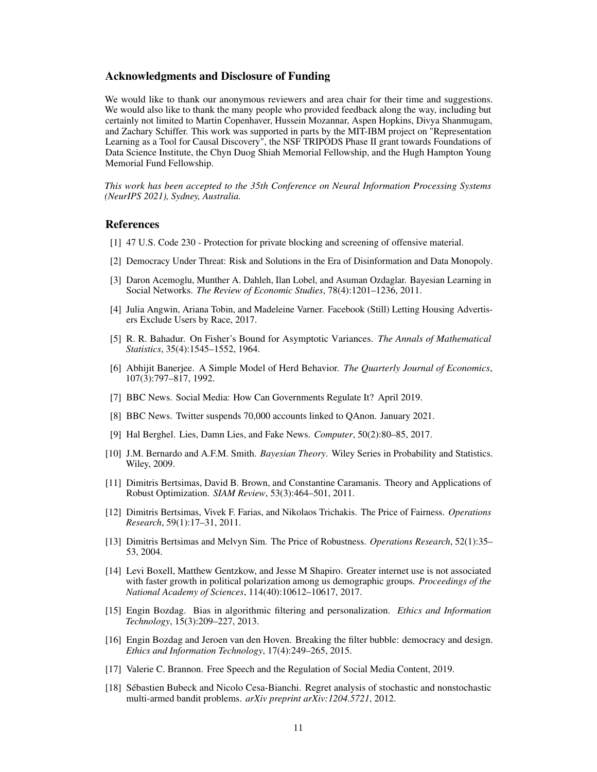# Acknowledgments and Disclosure of Funding

We would like to thank our anonymous reviewers and area chair for their time and suggestions. We would also like to thank the many people who provided feedback along the way, including but certainly not limited to Martin Copenhaver, Hussein Mozannar, Aspen Hopkins, Divya Shanmugam, and Zachary Schiffer. This work was supported in parts by the MIT-IBM project on "Representation Learning as a Tool for Causal Discovery", the NSF TRIPODS Phase II grant towards Foundations of Data Science Institute, the Chyn Duog Shiah Memorial Fellowship, and the Hugh Hampton Young Memorial Fund Fellowship.

*This work has been accepted to the 35th Conference on Neural Information Processing Systems (NeurIPS 2021), Sydney, Australia.*

# **References**

- <span id="page-10-5"></span>[1] 47 U.S. Code 230 - Protection for private blocking and screening of offensive material.
- <span id="page-10-3"></span>[2] Democracy Under Threat: Risk and Solutions in the Era of Disinformation and Data Monopoly.
- <span id="page-10-15"></span>[3] Daron Acemoglu, Munther A. Dahleh, Ilan Lobel, and Asuman Ozdaglar. Bayesian Learning in Social Networks. *The Review of Economic Studies*, 78(4):1201–1236, 2011.
- <span id="page-10-9"></span>[4] Julia Angwin, Ariana Tobin, and Madeleine Varner. Facebook (Still) Letting Housing Advertisers Exclude Users by Race, 2017.
- <span id="page-10-17"></span>[5] R. R. Bahadur. On Fisher's Bound for Asymptotic Variances. *The Annals of Mathematical Statistics*, 35(4):1545–1552, 1964.
- <span id="page-10-14"></span>[6] Abhijit Banerjee. A Simple Model of Herd Behavior. *The Quarterly Journal of Economics*, 107(3):797–817, 1992.
- <span id="page-10-8"></span>[7] BBC News. Social Media: How Can Governments Regulate It? April 2019.
- <span id="page-10-4"></span>[8] BBC News. Twitter suspends 70,000 accounts linked to QAnon. January 2021.
- <span id="page-10-7"></span>[9] Hal Berghel. Lies, Damn Lies, and Fake News. *Computer*, 50(2):80–85, 2017.
- <span id="page-10-0"></span>[10] J.M. Bernardo and A.F.M. Smith. *Bayesian Theory*. Wiley Series in Probability and Statistics. Wiley, 2009.
- <span id="page-10-11"></span>[11] Dimitris Bertsimas, David B. Brown, and Constantine Caramanis. Theory and Applications of Robust Optimization. *SIAM Review*, 53(3):464–501, 2011.
- <span id="page-10-13"></span>[12] Dimitris Bertsimas, Vivek F. Farias, and Nikolaos Trichakis. The Price of Fairness. *Operations Research*, 59(1):17–31, 2011.
- <span id="page-10-12"></span>[13] Dimitris Bertsimas and Melvyn Sim. The Price of Robustness. *Operations Research*, 52(1):35– 53, 2004.
- <span id="page-10-2"></span>[14] Levi Boxell, Matthew Gentzkow, and Jesse M Shapiro. Greater internet use is not associated with faster growth in political polarization among us demographic groups. *Proceedings of the National Academy of Sciences*, 114(40):10612–10617, 2017.
- <span id="page-10-1"></span>[15] Engin Bozdag. Bias in algorithmic filtering and personalization. *Ethics and Information Technology*, 15(3):209–227, 2013.
- <span id="page-10-10"></span>[16] Engin Bozdag and Jeroen van den Hoven. Breaking the filter bubble: democracy and design. *Ethics and Information Technology*, 17(4):249–265, 2015.
- <span id="page-10-6"></span>[17] Valerie C. Brannon. Free Speech and the Regulation of Social Media Content, 2019.
- <span id="page-10-16"></span>[18] Sébastien Bubeck and Nicolo Cesa-Bianchi. Regret analysis of stochastic and nonstochastic multi-armed bandit problems. *arXiv preprint arXiv:1204.5721*, 2012.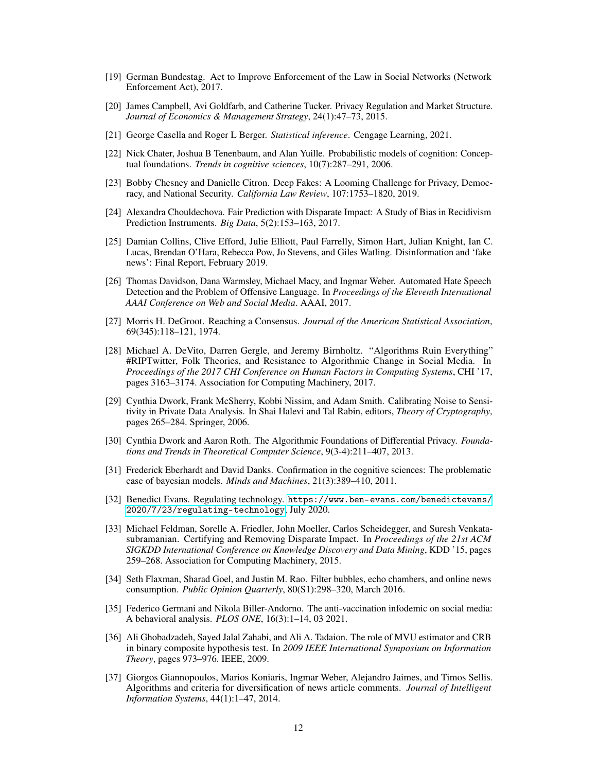- <span id="page-11-8"></span>[19] German Bundestag. Act to Improve Enforcement of the Law in Social Networks (Network Enforcement Act), 2017.
- <span id="page-11-13"></span>[20] James Campbell, Avi Goldfarb, and Catherine Tucker. Privacy Regulation and Market Structure. *Journal of Economics & Management Strategy*, 24(1):47–73, 2015.
- <span id="page-11-1"></span>[21] George Casella and Roger L Berger. *Statistical inference*. Cengage Learning, 2021.
- <span id="page-11-2"></span>[22] Nick Chater, Joshua B Tenenbaum, and Alan Yuille. Probabilistic models of cognition: Conceptual foundations. *Trends in cognitive sciences*, 10(7):287–291, 2006.
- <span id="page-11-5"></span>[23] Bobby Chesney and Danielle Citron. Deep Fakes: A Looming Challenge for Privacy, Democracy, and National Security. *California Law Review*, 107:1753–1820, 2019.
- <span id="page-11-11"></span>[24] Alexandra Chouldechova. Fair Prediction with Disparate Impact: A Study of Bias in Recidivism Prediction Instruments. *Big Data*, 5(2):153–163, 2017.
- <span id="page-11-6"></span>[25] Damian Collins, Clive Efford, Julie Elliott, Paul Farrelly, Simon Hart, Julian Knight, Ian C. Lucas, Brendan O'Hara, Rebecca Pow, Jo Stevens, and Giles Watling. Disinformation and 'fake news': Final Report, February 2019.
- <span id="page-11-10"></span>[26] Thomas Davidson, Dana Warmsley, Michael Macy, and Ingmar Weber. Automated Hate Speech Detection and the Problem of Offensive Language. In *Proceedings of the Eleventh International AAAI Conference on Web and Social Media*. AAAI, 2017.
- <span id="page-11-17"></span>[27] Morris H. DeGroot. Reaching a Consensus. *Journal of the American Statistical Association*, 69(345):118–121, 1974.
- <span id="page-11-4"></span>[28] Michael A. DeVito, Darren Gergle, and Jeremy Birnholtz. "Algorithms Ruin Everything" #RIPTwitter, Folk Theories, and Resistance to Algorithmic Change in Social Media. In *Proceedings of the 2017 CHI Conference on Human Factors in Computing Systems*, CHI '17, pages 3163–3174. Association for Computing Machinery, 2017.
- <span id="page-11-15"></span>[29] Cynthia Dwork, Frank McSherry, Kobbi Nissim, and Adam Smith. Calibrating Noise to Sensitivity in Private Data Analysis. In Shai Halevi and Tal Rabin, editors, *Theory of Cryptography*, pages 265–284. Springer, 2006.
- <span id="page-11-16"></span>[30] Cynthia Dwork and Aaron Roth. The Algorithmic Foundations of Differential Privacy. *Foundations and Trends in Theoretical Computer Science*, 9(3-4):211–407, 2013.
- <span id="page-11-3"></span>[31] Frederick Eberhardt and David Danks. Confirmation in the cognitive sciences: The problematic case of bayesian models. *Minds and Machines*, 21(3):389–410, 2011.
- <span id="page-11-9"></span>[32] Benedict Evans. Regulating technology. [https://www.ben-evans.com/benedictevans/](https://www.ben-evans.com/benedictevans/2020/7/23/regulating-technology) [2020/7/23/regulating-technology](https://www.ben-evans.com/benedictevans/2020/7/23/regulating-technology), July 2020.
- <span id="page-11-12"></span>[33] Michael Feldman, Sorelle A. Friedler, John Moeller, Carlos Scheidegger, and Suresh Venkatasubramanian. Certifying and Removing Disparate Impact. In *Proceedings of the 21st ACM SIGKDD International Conference on Knowledge Discovery and Data Mining*, KDD '15, pages 259–268. Association for Computing Machinery, 2015.
- <span id="page-11-7"></span>[34] Seth Flaxman, Sharad Goel, and Justin M. Rao. Filter bubbles, echo chambers, and online news consumption. *Public Opinion Quarterly*, 80(S1):298–320, March 2016.
- <span id="page-11-0"></span>[35] Federico Germani and Nikola Biller-Andorno. The anti-vaccination infodemic on social media: A behavioral analysis. *PLOS ONE*, 16(3):1–14, 03 2021.
- <span id="page-11-18"></span>[36] Ali Ghobadzadeh, Sayed Jalal Zahabi, and Ali A. Tadaion. The role of MVU estimator and CRB in binary composite hypothesis test. In *2009 IEEE International Symposium on Information Theory*, pages 973–976. IEEE, 2009.
- <span id="page-11-14"></span>[37] Giorgos Giannopoulos, Marios Koniaris, Ingmar Weber, Alejandro Jaimes, and Timos Sellis. Algorithms and criteria for diversification of news article comments. *Journal of Intelligent Information Systems*, 44(1):1–47, 2014.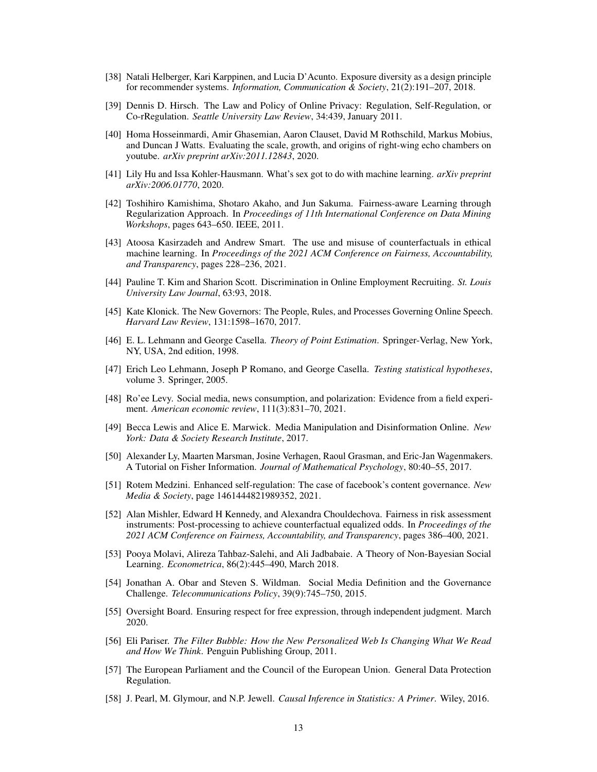- <span id="page-12-15"></span>[38] Natali Helberger, Kari Karppinen, and Lucia D'Acunto. Exposure diversity as a design principle for recommender systems. *Information, Communication & Society*, 21(2):191–207, 2018.
- <span id="page-12-17"></span>[39] Dennis D. Hirsch. The Law and Policy of Online Privacy: Regulation, Self-Regulation, or Co-rRegulation. *Seattle University Law Review*, 34:439, January 2011.
- <span id="page-12-9"></span>[40] Homa Hosseinmardi, Amir Ghasemian, Aaron Clauset, David M Rothschild, Markus Mobius, and Duncan J Watts. Evaluating the scale, growth, and origins of right-wing echo chambers on youtube. *arXiv preprint arXiv:2011.12843*, 2020.
- <span id="page-12-1"></span>[41] Lily Hu and Issa Kohler-Hausmann. What's sex got to do with machine learning. *arXiv preprint arXiv:2006.01770*, 2020.
- <span id="page-12-16"></span>[42] Toshihiro Kamishima, Shotaro Akaho, and Jun Sakuma. Fairness-aware Learning through Regularization Approach. In *Proceedings of 11th International Conference on Data Mining Workshops*, pages 643–650. IEEE, 2011.
- <span id="page-12-3"></span>[43] Atoosa Kasirzadeh and Andrew Smart. The use and misuse of counterfactuals in ethical machine learning. In *Proceedings of the 2021 ACM Conference on Fairness, Accountability, and Transparency*, pages 228–236, 2021.
- <span id="page-12-8"></span>[44] Pauline T. Kim and Sharion Scott. Discrimination in Online Employment Recruiting. *St. Louis University Law Journal*, 63:93, 2018.
- <span id="page-12-13"></span>[45] Kate Klonick. The New Governors: The People, Rules, and Processes Governing Online Speech. *Harvard Law Review*, 131:1598–1670, 2017.
- <span id="page-12-5"></span>[46] E. L. Lehmann and George Casella. *Theory of Point Estimation*. Springer-Verlag, New York, NY, USA, 2nd edition, 1998.
- <span id="page-12-4"></span>[47] Erich Leo Lehmann, Joseph P Romano, and George Casella. *Testing statistical hypotheses*, volume 3. Springer, 2005.
- <span id="page-12-18"></span>[48] Ro'ee Levy. Social media, news consumption, and polarization: Evidence from a field experiment. *American economic review*, 111(3):831–70, 2021.
- <span id="page-12-6"></span>[49] Becca Lewis and Alice E. Marwick. Media Manipulation and Disinformation Online. *New York: Data & Society Research Institute*, 2017.
- <span id="page-12-20"></span>[50] Alexander Ly, Maarten Marsman, Josine Verhagen, Raoul Grasman, and Eric-Jan Wagenmakers. A Tutorial on Fisher Information. *Journal of Mathematical Psychology*, 80:40–55, 2017.
- <span id="page-12-10"></span>[51] Rotem Medzini. Enhanced self-regulation: The case of facebook's content governance. *New Media & Society*, page 1461444821989352, 2021.
- <span id="page-12-2"></span>[52] Alan Mishler, Edward H Kennedy, and Alexandra Chouldechova. Fairness in risk assessment instruments: Post-processing to achieve counterfactual equalized odds. In *Proceedings of the 2021 ACM Conference on Fairness, Accountability, and Transparency*, pages 386–400, 2021.
- <span id="page-12-19"></span>[53] Pooya Molavi, Alireza Tahbaz-Salehi, and Ali Jadbabaie. A Theory of Non-Bayesian Social Learning. *Econometrica*, 86(2):445–490, March 2018.
- <span id="page-12-14"></span>[54] Jonathan A. Obar and Steven S. Wildman. Social Media Definition and the Governance Challenge. *Telecommunications Policy*, 39(9):745–750, 2015.
- <span id="page-12-11"></span>[55] Oversight Board. Ensuring respect for free expression, through independent judgment. March 2020.
- <span id="page-12-7"></span>[56] Eli Pariser. *The Filter Bubble: How the New Personalized Web Is Changing What We Read and How We Think*. Penguin Publishing Group, 2011.
- <span id="page-12-12"></span>[57] The European Parliament and the Council of the European Union. General Data Protection Regulation.
- <span id="page-12-0"></span>[58] J. Pearl, M. Glymour, and N.P. Jewell. *Causal Inference in Statistics: A Primer*. Wiley, 2016.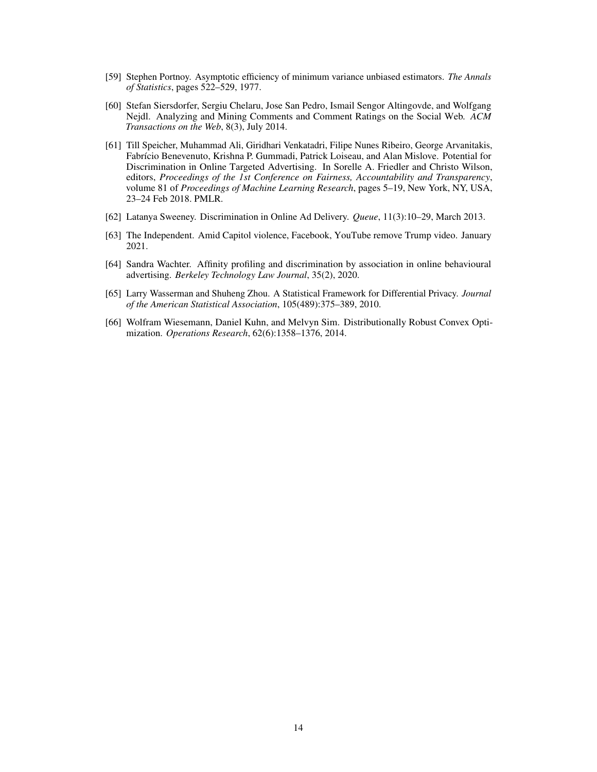- <span id="page-13-1"></span>[59] Stephen Portnoy. Asymptotic efficiency of minimum variance unbiased estimators. *The Annals of Statistics*, pages 522–529, 1977.
- <span id="page-13-2"></span>[60] Stefan Siersdorfer, Sergiu Chelaru, Jose San Pedro, Ismail Sengor Altingovde, and Wolfgang Nejdl. Analyzing and Mining Comments and Comment Ratings on the Social Web. *ACM Transactions on the Web*, 8(3), July 2014.
- <span id="page-13-3"></span>[61] Till Speicher, Muhammad Ali, Giridhari Venkatadri, Filipe Nunes Ribeiro, George Arvanitakis, Fabrício Benevenuto, Krishna P. Gummadi, Patrick Loiseau, and Alan Mislove. Potential for Discrimination in Online Targeted Advertising. In Sorelle A. Friedler and Christo Wilson, editors, *Proceedings of the 1st Conference on Fairness, Accountability and Transparency*, volume 81 of *Proceedings of Machine Learning Research*, pages 5–19, New York, NY, USA, 23–24 Feb 2018. PMLR.
- <span id="page-13-4"></span>[62] Latanya Sweeney. Discrimination in Online Ad Delivery. *Queue*, 11(3):10–29, March 2013.
- <span id="page-13-5"></span>[63] The Independent. Amid Capitol violence, Facebook, YouTube remove Trump video. January 2021.
- <span id="page-13-0"></span>[64] Sandra Wachter. Affinity profiling and discrimination by association in online behavioural advertising. *Berkeley Technology Law Journal*, 35(2), 2020.
- <span id="page-13-7"></span>[65] Larry Wasserman and Shuheng Zhou. A Statistical Framework for Differential Privacy. *Journal of the American Statistical Association*, 105(489):375–389, 2010.
- <span id="page-13-6"></span>[66] Wolfram Wiesemann, Daniel Kuhn, and Melvyn Sim. Distributionally Robust Convex Optimization. *Operations Research*, 62(6):1358–1376, 2014.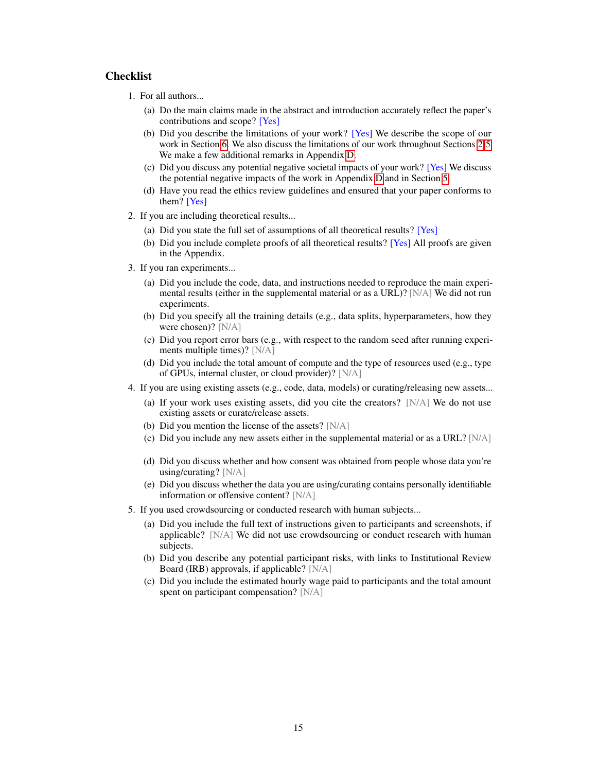# **Checklist**

- 1. For all authors...
	- (a) Do the main claims made in the abstract and introduction accurately reflect the paper's contributions and scope? [Yes]
	- (b) Did you describe the limitations of your work? [Yes] We describe the scope of our work in Section [6.](#page-9-0) We also discuss the limitations of our work throughout Sections [2](#page-1-0)[-5.](#page-7-1) We make a few additional remarks in Appendix [D.](#page-21-0)
	- (c) Did you discuss any potential negative societal impacts of your work? [Yes] We discuss the potential negative impacts of the work in Appendix [D](#page-21-0) and in Section [5.](#page-7-1)
	- (d) Have you read the ethics review guidelines and ensured that your paper conforms to them? [Yes]
- 2. If you are including theoretical results...
	- (a) Did you state the full set of assumptions of all theoretical results? [Yes]
	- (b) Did you include complete proofs of all theoretical results? [Yes] All proofs are given in the Appendix.
- 3. If you ran experiments...
	- (a) Did you include the code, data, and instructions needed to reproduce the main experimental results (either in the supplemental material or as a URL)? [N/A] We did not run experiments.
	- (b) Did you specify all the training details (e.g., data splits, hyperparameters, how they were chosen)? [N/A]
	- (c) Did you report error bars (e.g., with respect to the random seed after running experiments multiple times)? [N/A]
	- (d) Did you include the total amount of compute and the type of resources used (e.g., type of GPUs, internal cluster, or cloud provider)? [N/A]
- 4. If you are using existing assets (e.g., code, data, models) or curating/releasing new assets...
	- (a) If your work uses existing assets, did you cite the creators? [N/A] We do not use existing assets or curate/release assets.
	- (b) Did you mention the license of the assets? [N/A]
	- (c) Did you include any new assets either in the supplemental material or as a URL?  $[N/A]$
	- (d) Did you discuss whether and how consent was obtained from people whose data you're using/curating? [N/A]
	- (e) Did you discuss whether the data you are using/curating contains personally identifiable information or offensive content? [N/A]
- 5. If you used crowdsourcing or conducted research with human subjects...
	- (a) Did you include the full text of instructions given to participants and screenshots, if applicable? [N/A] We did not use crowdsourcing or conduct research with human subjects.
	- (b) Did you describe any potential participant risks, with links to Institutional Review Board (IRB) approvals, if applicable? [N/A]
	- (c) Did you include the estimated hourly wage paid to participants and the total amount spent on participant compensation? [N/A]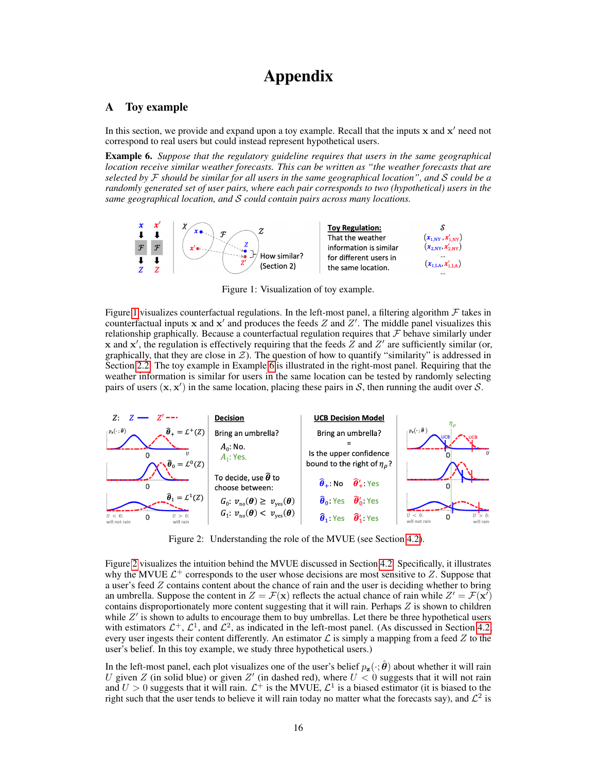# Appendix

# A Toy example

In this section, we provide and expand upon a toy example. Recall that the inputs  $x$  and  $x'$  need not correspond to real users but could instead represent hypothetical users.

<span id="page-15-1"></span>Example 6. *Suppose that the regulatory guideline requires that users in the same geographical location receive similar weather forecasts. This can be written as "the weather forecasts that are selected by* F *should be similar for all users in the same geographical location", and* S *could be a randomly generated set of user pairs, where each pair corresponds to two (hypothetical) users in the same geographical location, and* S *could contain pairs across many locations.*



<span id="page-15-0"></span>Figure 1: Visualization of toy example.

Figure [1](#page-15-0) visualizes counterfactual regulations. In the left-most panel, a filtering algorithm  $\mathcal F$  takes in counterfactual inputs x and x' and produces the feeds Z and  $Z'$ . The middle panel visualizes this relationship graphically. Because a counterfactual regulation requires that  $\mathcal F$  behave similarly under x and x', the regulation is effectively requiring that the feeds  $\overline{Z}$  and  $Z'$  are sufficiently similar (or, graphically, that they are close in  $\mathcal{Z}$ ). The question of how to quantify "similarity" is addressed in Section [2.2.](#page-2-2) The toy example in Example [6](#page-15-1) is illustrated in the right-most panel. Requiring that the weather information is similar for users in the same location can be tested by randomly selecting pairs of users  $(x, x')$  in the same location, placing these pairs in S, then running the audit over S.



<span id="page-15-2"></span>Figure 2: Understanding the role of the MVUE (see Section [4.2\)](#page-5-3).

Figure [2](#page-15-2) visualizes the intuition behind the MVUE discussed in Section [4.2.](#page-5-3) Specifically, it illustrates why the MVUE  $\mathcal{L}^+$  corresponds to the user whose decisions are most sensitive to Z. Suppose that a user's feed Z contains content about the chance of rain and the user is deciding whether to bring an umbrella. Suppose the content in  $Z = \mathcal{F}(\mathbf{x})$  reflects the actual chance of rain while  $Z' = \mathcal{F}(\mathbf{x}')$ contains disproportionately more content suggesting that it will rain. Perhaps  $Z$  is shown to children while  $Z'$  is shown to adults to encourage them to buy umbrellas. Let there be three hypothetical users with estimators  $\mathcal{L}^+$ ,  $\mathcal{L}^1$ , and  $\mathcal{L}^2$ , as indicated in the left-most panel. (As discussed in Section [4.2,](#page-5-3) every user ingests their content differently. An estimator  $\mathcal L$  is simply a mapping from a feed  $Z$  to the user's belief. In this toy example, we study three hypothetical users.)

In the left-most panel, each plot visualizes one of the user's belief  $p_z(\cdot; \hat{\theta})$  about whether it will rain U given Z (in solid blue) or given Z' (in dashed red), where  $U < 0$  suggests that it will not rain and  $U > 0$  suggests that it will rain.  $\mathcal{L}^+$  is the MVUE,  $\mathcal{L}^1$  is a biased estimator (it is biased to the right such that the user tends to believe it will rain today no matter what the forecasts say), and  $\mathcal{L}^2$  is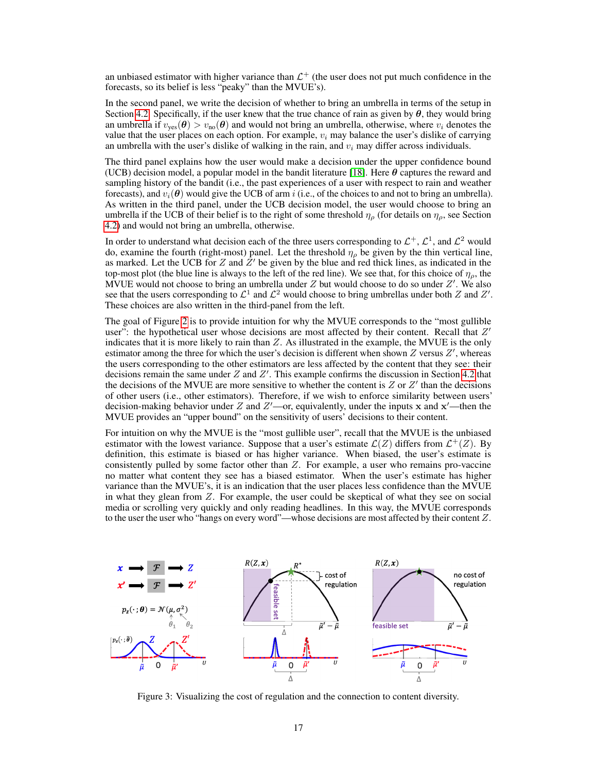an unbiased estimator with higher variance than  $\mathcal{L}^+$  (the user does not put much confidence in the forecasts, so its belief is less "peaky" than the MVUE's).

In the second panel, we write the decision of whether to bring an umbrella in terms of the setup in Section [4.2.](#page-5-3) Specifically, if the user knew that the true chance of rain as given by  $\theta$ , they would bring an umbrella if  $v_{\text{ves}}(\theta) > v_{\text{no}}(\theta)$  and would not bring an umbrella, otherwise, where  $v_i$  denotes the value that the user places on each option. For example,  $v_i$  may balance the user's dislike of carrying an umbrella with the user's dislike of walking in the rain, and  $v_i$  may differ across individuals.

The third panel explains how the user would make a decision under the upper confidence bound (UCB) decision model, a popular model in the bandit literature [\[18\]](#page-10-16). Here  $\theta$  captures the reward and sampling history of the bandit (i.e., the past experiences of a user with respect to rain and weather forecasts), and  $v_i(\theta)$  would give the UCB of arm i (i.e., of the choices to and not to bring an umbrella). As written in the third panel, under the UCB decision model, the user would choose to bring an umbrella if the UCB of their belief is to the right of some threshold  $\eta_{\rho}$  (for details on  $\eta_{\rho}$ , see Section [4.2\)](#page-5-3) and would not bring an umbrella, otherwise.

In order to understand what decision each of the three users corresponding to  $\mathcal{L}^+$ ,  $\mathcal{L}^1$ , and  $\mathcal{L}^2$  would do, examine the fourth (right-most) panel. Let the threshold  $\eta_{\rho}$  be given by the thin vertical line, as marked. Let the UCB for Z and  $\overline{Z}$  be given by the blue and red thick lines, as indicated in the top-most plot (the blue line is always to the left of the red line). We see that, for this choice of  $\eta_{\rho}$ , the MVUE would not choose to bring an umbrella under  $Z$  but would choose to do so under  $Z'$ . We also see that the users corresponding to  $\mathcal{L}^1$  and  $\mathcal{L}^2$  would choose to bring umbrellas under both Z and Z'. These choices are also written in the third-panel from the left.

The goal of Figure [2](#page-15-2) is to provide intuition for why the MVUE corresponds to the "most gullible user": the hypothetical user whose decisions are most affected by their content. Recall that  $Z'$ indicates that it is more likely to rain than Z. As illustrated in the example, the MVUE is the only estimator among the three for which the user's decision is different when shown  $Z$  versus  $Z'$ , whereas the users corresponding to the other estimators are less affected by the content that they see: their decisions remain the same under  $Z$  and  $Z'$ . This example confirms the discussion in Section [4.2](#page-5-3) that the decisions of the MVUE are more sensitive to whether the content is  $Z$  or  $Z'$  than the decisions of other users (i.e., other estimators). Therefore, if we wish to enforce similarity between users' decision-making behavior under Z and Z'—or, equivalently, under the inputs x and  $x'$ —then the MVUE provides an "upper bound" on the sensitivity of users' decisions to their content.

For intuition on why the MVUE is the "most gullible user", recall that the MVUE is the unbiased estimator with the lowest variance. Suppose that a user's estimate  $\mathcal{L}(Z)$  differs from  $\mathcal{L}^{+}(Z)$ . By definition, this estimate is biased or has higher variance. When biased, the user's estimate is consistently pulled by some factor other than Z. For example, a user who remains pro-vaccine no matter what content they see has a biased estimator. When the user's estimate has higher variance than the MVUE's, it is an indication that the user places less confidence than the MVUE in what they glean from  $Z$ . For example, the user could be skeptical of what they see on social media or scrolling very quickly and only reading headlines. In this way, the MVUE corresponds to the user the user who "hangs on every word"—whose decisions are most affected by their content Z.



<span id="page-16-0"></span>Figure 3: Visualizing the cost of regulation and the connection to content diversity.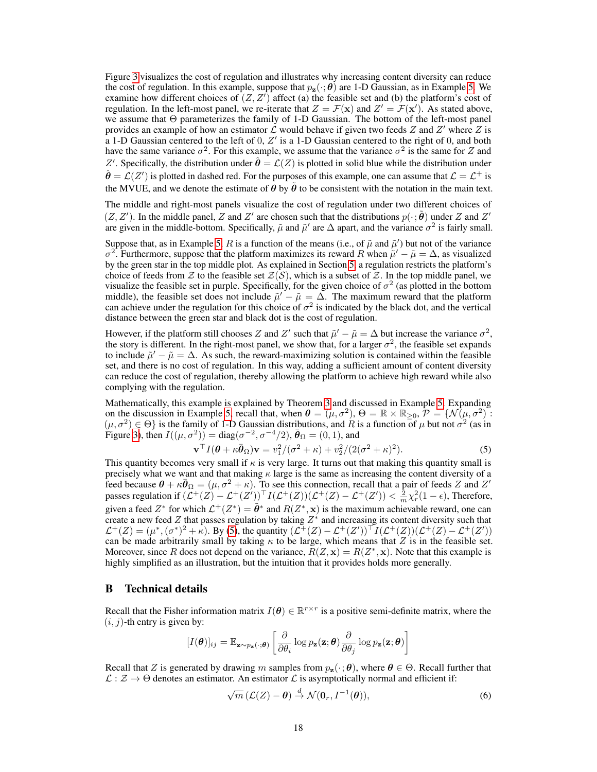Figure [3](#page-16-0) visualizes the cost of regulation and illustrates why increasing content diversity can reduce the cost of regulation. In this example, suppose that  $p_{z}(\cdot;\boldsymbol{\theta})$  are 1-D Gaussian, as in Example [5.](#page-8-4) We examine how different choices of  $(Z, Z')$  affect (a) the feasible set and (b) the platform's cost of regulation. In the left-most panel, we re-iterate that  $Z = \mathcal{F}(\mathbf{x})$  and  $Z' = \mathcal{F}(\mathbf{x}')$ . As stated above, we assume that Θ parameterizes the family of 1-D Gaussian. The bottom of the left-most panel provides an example of how an estimator  $\mathcal L$  would behave if given two feeds Z and Z' where Z is a 1-D Gaussian centered to the left of 0,  $Z'$  is a 1-D Gaussian centered to the right of 0, and both have the same variance  $\sigma^2$ . For this example, we assume that the variance  $\sigma^2$  is the same for Z and Z'. Specifically, the distribution under  $\hat{\theta} = \mathcal{L}(Z)$  is plotted in solid blue while the distribution under  $\hat{\theta} = \mathcal{L}(Z')$  is plotted in dashed red. For the purposes of this example, one can assume that  $\mathcal{L} = \mathcal{L}^+$  is the MVUE, and we denote the estimate of  $\theta$  by  $\tilde{\theta}$  to be consistent with the notation in the main text.

The middle and right-most panels visualize the cost of regulation under two different choices of  $(Z, Z')$ . In the middle panel, Z and Z' are chosen such that the distributions  $p(\cdot; \tilde{\theta})$  under Z and Z' are given in the middle-bottom. Specifically,  $\tilde{\mu}$  and  $\tilde{\mu}'$  are  $\Delta$  apart, and the variance  $\sigma^2$  is fairly small.

Suppose that, as in Example [5,](#page-8-4) R is a function of the means (i.e., of  $\tilde{\mu}$  and  $\tilde{\mu}'$ ) but not of the variance  $\sigma^2$ . Furthermore, suppose that the platform maximizes its reward R when  $\tilde{\mu}' - \tilde{\mu} = \Delta$ , as visualized by the green star in the top middle plot. As explained in Section [5,](#page-7-1) a regulation restricts the platform's choice of feeds from Z to the feasible set  $\mathcal{Z}(S)$ , which is a subset of Z. In the top middle panel, we visualize the feasible set in purple. Specifically, for the given choice of  $\sigma^2$  (as plotted in the bottom middle), the feasible set does not include  $\tilde{\mu}' - \tilde{\mu} = \tilde{\Delta}$ . The maximum reward that the platform can achieve under the regulation for this choice of  $\sigma^2$  is indicated by the black dot, and the vertical distance between the green star and black dot is the cost of regulation.

However, if the platform still chooses Z and Z' such that  $\tilde{\mu}' - \tilde{\mu} = \Delta$  but increase the variance  $\sigma^2$ , the story is different. In the right-most panel, we show that, for a larger  $\sigma^2$ , the feasible set expands to include  $\tilde{\mu}' - \tilde{\mu} = \Delta$ . As such, the reward-maximizing solution is contained within the feasible set, and there is no cost of regulation. In this way, adding a sufficient amount of content diversity can reduce the cost of regulation, thereby allowing the platform to achieve high reward while also complying with the regulation.

Mathematically, this example is explained by Theorem [3](#page-7-3) and discussed in Example [5.](#page-8-4) Expanding on the discussion in Example [5,](#page-8-4) recall that, when  $\theta = (\mu, \sigma^2)$ ,  $\Theta = \mathbb{R} \times \mathbb{R}_{\geq 0}$ ,  $\mathcal{P} = \{ \mathcal{N}(\mu, \sigma^2) \}$ .  $(\mu, \sigma^2) \in \Theta$  is the family of 1-D Gaussian distributions, and R is a function of  $\mu$  but not  $\sigma^2$  (as in Figure [3\)](#page-16-0), then  $I((\mu, \sigma^2))$  = diag( $\sigma^{-2}, \sigma^{-4}/2$ ),  $\bar{\theta}_{\Omega} = (0, 1)$ , and

<span id="page-17-1"></span>
$$
\mathbf{v}^{\top} I(\boldsymbol{\theta} + \kappa \bar{\boldsymbol{\theta}}_{\Omega}) \mathbf{v} = v_1^2 / (\sigma^2 + \kappa) + v_2^2 / (2(\sigma^2 + \kappa)^2). \tag{5}
$$

This quantity becomes very small if  $\kappa$  is very large. It turns out that making this quantity small is precisely what we want and that making  $\kappa$  large is the same as increasing the content diversity of a feed because  $\theta + \kappa \bar{\theta}_{\Omega} = (\mu, \sigma^2 + \kappa)$ . To see this connection, recall that a pair of feeds Z and Z' passes regulation if  $(\mathcal{L}^+(Z) - \mathcal{L}^+(Z'))^{\top} I(\mathcal{L}^+(Z))(\mathcal{L}^+(Z) - \mathcal{L}^+(Z')) < \frac{2}{m}\chi^2_r(1-\epsilon)$ , Therefore, given a feed  $Z^*$  for which  $\mathcal{L}^+(Z^*) = \tilde{\theta}^*$  and  $R(Z^*, \mathbf{x})$  is the maximum achievable reward, one can create a new feed Z that passes regulation by taking  $Z^*$  and increasing its content diversity such that  $\mathcal{L}^+(Z) = (\mu^*, (\sigma^*)^2 + \kappa)$ . By [\(5\)](#page-17-1), the quantity  $(\mathcal{L}^+(Z) - \mathcal{L}^+(Z'))^{\top} I(\mathcal{L}^+(Z))(\mathcal{L}^+(Z) - \mathcal{L}^+(Z'))$ can be made arbitrarily small by taking  $\kappa$  to be large, which means that Z is in the feasible set. Moreover, since R does not depend on the variance,  $R(Z, x) = R(Z^*, x)$ . Note that this example is highly simplified as an illustration, but the intuition that it provides holds more generally.

# <span id="page-17-0"></span>B Technical details

Recall that the Fisher information matrix  $I(\theta) \in \mathbb{R}^{r \times r}$  is a positive semi-definite matrix, where the  $(i, j)$ -th entry is given by:

$$
[I(\boldsymbol{\theta})]_{ij} = \mathbb{E}_{\mathbf{z} \sim p_{\mathbf{z}}(\cdot; \boldsymbol{\theta})} \left[ \frac{\partial}{\partial \theta_i} \log p_{\mathbf{z}}(\mathbf{z}; \boldsymbol{\theta}) \frac{\partial}{\partial \theta_j} \log p_{\mathbf{z}}(\mathbf{z}; \boldsymbol{\theta}) \right]
$$

Recall that Z is generated by drawing m samples from  $p_{z}(\cdot; \theta)$ , where  $\theta \in \Theta$ . Recall further that  $\mathcal{L}: \mathcal{Z} \to \Theta$  denotes an estimator. An estimator  $\mathcal{L}$  is asymptotically normal and efficient if:

$$
\sqrt{m}\left(\mathcal{L}(Z)-\boldsymbol{\theta}\right) \stackrel{d}{\rightarrow} \mathcal{N}(\mathbf{0}_r, I^{-1}(\boldsymbol{\theta})),\tag{6}
$$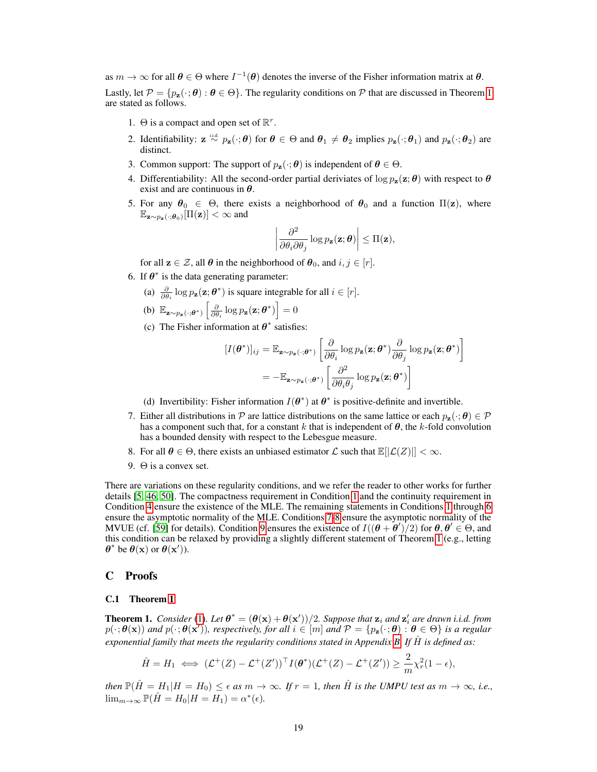as  $m \to \infty$  for all  $\theta \in \Theta$  where  $I^{-1}(\theta)$  denotes the inverse of the Fisher information matrix at  $\theta$ . Lastly, let  $\mathcal{P} = \{p_{z}(\cdot; \theta): \theta \in \Theta\}$ . The regularity conditions on  $\mathcal{P}$  that are discussed in Theorem [1](#page-5-1) are stated as follows.

- <span id="page-18-0"></span>1.  $\Theta$  is a compact and open set of  $\mathbb{R}^r$ .
- 2. Identifiability:  $\mathbf{z} \stackrel{\text{i.i.d.}}{\sim} p_{\mathbf{z}}(\cdot; \theta)$  for  $\theta \in \Theta$  and  $\theta_1 \neq \theta_2$  implies  $p_{\mathbf{z}}(\cdot; \theta_1)$  and  $p_{\mathbf{z}}(\cdot; \theta_2)$  are distinct.
- 3. Common support: The support of  $p_{\mathbf{z}}(\cdot; \theta)$  is independent of  $\theta \in \Theta$ .
- <span id="page-18-1"></span>4. Differentiability: All the second-order partial deriviates of  $\log p_{z}(z; \theta)$  with respect to  $\theta$ exist and are continuous in  $\theta$ .
- 5. For any  $\theta_0 \in \Theta$ , there exists a neighborhood of  $\theta_0$  and a function  $\Pi(z)$ , where  $\mathbb{E}_{\mathbf{z} \sim p_{\mathbf{z}}(\cdot; \boldsymbol{\theta}_0)}[\Pi(\mathbf{z})] < \infty$  and

$$
\left|\frac{\partial^2}{\partial \theta_i \partial \theta_j} \log p_{\mathbf{z}}(\mathbf{z}; \boldsymbol{\theta})\right| \leq \Pi(\mathbf{z}),
$$

for all  $z \in \mathcal{Z}$ , all  $\theta$  in the neighborhood of  $\theta_0$ , and  $i, j \in [r]$ .

- <span id="page-18-2"></span>6. If  $\theta^*$  is the data generating parameter:
	- (a)  $\frac{\partial}{\partial \theta_i} \log p_{\mathbf{z}}(\mathbf{z}; \boldsymbol{\theta}^*)$  is square integrable for all  $i \in [r]$ .

(b) 
$$
\mathbb{E}_{\mathbf{z} \sim p_{\mathbf{z}}(\cdot; \boldsymbol{\theta}^*)}\left[\frac{\partial}{\partial \theta_i} \log p_{\mathbf{z}}(\mathbf{z}; \boldsymbol{\theta}^*)\right] = 0
$$

(c) The Fisher information at  $\theta^*$  satisfies:

$$
[I(\boldsymbol{\theta}^*)]_{ij} = \mathbb{E}_{\mathbf{z} \sim p_{\mathbf{z}}(\cdot; \boldsymbol{\theta}^*)} \left[ \frac{\partial}{\partial \theta_i} \log p_{\mathbf{z}}(\mathbf{z}; \boldsymbol{\theta}^*) \frac{\partial}{\partial \theta_j} \log p_{\mathbf{z}}(\mathbf{z}; \boldsymbol{\theta}^*) \right]
$$
  
= 
$$
-\mathbb{E}_{\mathbf{z} \sim p_{\mathbf{z}}(\cdot; \boldsymbol{\theta}^*)} \left[ \frac{\partial^2}{\partial \theta_i \theta_j} \log p_{\mathbf{z}}(\mathbf{z}; \boldsymbol{\theta}^*) \right]
$$

(d) Invertibility: Fisher information  $I(\theta^*)$  at  $\theta^*$  is positive-definite and invertible.

- <span id="page-18-3"></span>7. Either all distributions in P are lattice distributions on the same lattice or each  $p_z(\cdot; \theta) \in \mathcal{P}$ has a component such that, for a constant k that is independent of  $\theta$ , the k-fold convolution has a bounded density with respect to the Lebesgue measure.
- <span id="page-18-4"></span>8. For all  $\theta \in \Theta$ , there exists an unbiased estimator  $\mathcal L$  such that  $\mathbb E[|\mathcal L(Z)|] < \infty$ .
- 9.  $\Theta$  is a convex set.

<span id="page-18-5"></span>There are variations on these regularity conditions, and we refer the reader to other works for further details [\[5,](#page-10-17) [46,](#page-12-5) [50\]](#page-12-20). The compactness requirement in Condition [1](#page-18-0) and the continuity requirement in Condition [4](#page-18-1) ensure the existence of the MLE. The remaining statements in Conditions [1](#page-18-0) through [6](#page-18-2) ensure the asymptotic normality of the MLE. Conditions [7-](#page-18-3)[8](#page-18-4) ensure the asymptotic normality of the MVUE (cf. [\[59\]](#page-13-1) for details). Condition [9](#page-18-5) ensures the existence of  $I((\theta + \theta')/2)$  for  $\theta, \theta' \in \Theta$ , and this condition can be relaxed by providing a slightly different statement of Theorem [1](#page-5-1) (e.g., letting  $\theta^*$  be  $\theta(\mathbf{x})$  or  $\theta(\mathbf{x}^{\prime})$ ).

## C Proofs

## C.1 Theorem [1](#page-5-1)

**Theorem 1.** *Consider* [\(1\)](#page-2-1). Let  $\theta^* = (\theta(\mathbf{x}) + \theta(\mathbf{x}'))/2$ . Suppose that  $\mathbf{z}_i$  and  $\mathbf{z}'_i$  are drawn i.i.d. from  $p(\cdot;\theta(\mathbf{x}))$  and  $p(\cdot;\theta(\mathbf{x}'))$ , respectively, for all  $i \in [m]$  and  $\mathcal{P} = \{p_{\mathbf{z}}(\cdot;\theta) : \theta \in \Theta\}$  is a regular *exponential family that meets the regularity conditions stated in Appendix [B.](#page-17-0) If*  $\hat{H}$  *is defined as:* 

$$
\hat{H} = H_1 \iff (\mathcal{L}^+(Z) - \mathcal{L}^+(Z'))^\top I(\boldsymbol{\theta}^*)(\mathcal{L}^+(Z) - \mathcal{L}^+(Z')) \geq \frac{2}{m} \chi^2_r (1 - \epsilon),
$$

*then*  $\mathbb{P}(\hat{H} = H_1|H = H_0) \le \epsilon$  *as*  $m \to \infty$ *. If*  $r = 1$ *, then*  $\hat{H}$  *is the UMPU test as*  $m \to \infty$ *, i.e.,*  $\lim_{m\to\infty} \mathbb{P}(\hat{H} = H_0 | H = H_1) = \alpha^*(\epsilon).$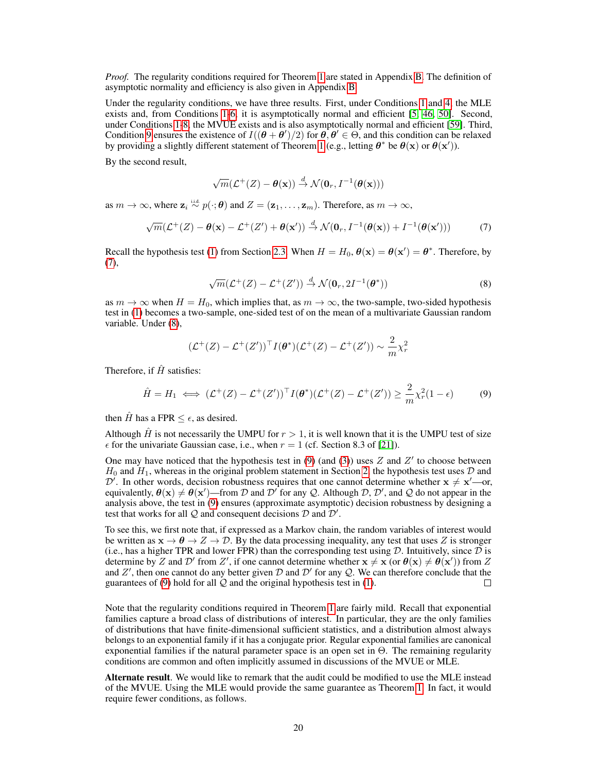*Proof.* The regularity conditions required for Theorem [1](#page-5-1) are stated in Appendix [B.](#page-17-0) The definition of asymptotic normality and efficiency is also given in Appendix [B.](#page-17-0)

Under the regularity conditions, we have three results. First, under Conditions [1](#page-18-0) and [4,](#page-18-1) the MLE exists and, from Conditions [1](#page-18-0)[-6,](#page-18-2) it is asymptotically normal and efficient [\[5,](#page-10-17) [46,](#page-12-5) [50\]](#page-12-20). Second, under Conditions [1-](#page-18-0)[8,](#page-18-4) the MVUE exists and is also asymptotically normal and efficient [\[59\]](#page-13-1). Third, Condition [9](#page-18-5) ensures the existence of  $I((\theta + \theta')/2)$  for  $\theta, \theta' \in \Theta$ , and this condition can be relaxed by providing a slightly different statement of Theorem [1](#page-5-1) (e.g., letting  $\theta^*$  be  $\theta(\mathbf{x})$  or  $\theta(\mathbf{x}')$ ).

By the second result,

<span id="page-19-0"></span>
$$
\sqrt{m}(\mathcal{L}^+(Z)-\boldsymbol{\theta}(\mathbf{x})) \stackrel{d}{\rightarrow} \mathcal{N}(\mathbf{0}_r, I^{-1}(\boldsymbol{\theta}(\mathbf{x})))
$$

as  $m \to \infty$ , where  $\mathbf{z}_i \stackrel{\text{i.i.d.}}{\sim} p(\cdot;\boldsymbol{\theta})$  and  $Z = (\mathbf{z}_1, \dots, \mathbf{z}_m)$ . Therefore, as  $m \to \infty$ ,

$$
\sqrt{m}(\mathcal{L}^+(Z) - \theta(\mathbf{x}) - \mathcal{L}^+(Z') + \theta(\mathbf{x}')) \stackrel{d}{\to} \mathcal{N}(\mathbf{0}_r, I^{-1}(\theta(\mathbf{x}))) + I^{-1}(\theta(\mathbf{x}')))
$$
(7)

Recall the hypothesis test [\(1\)](#page-2-1) from Section [2.3.](#page-2-4) When  $H = H_0$ ,  $\theta(\mathbf{x}) = \theta(\mathbf{x}') = \theta^*$ . Therefore, by  $(7)$ ,

<span id="page-19-2"></span><span id="page-19-1"></span>
$$
\sqrt{m}(\mathcal{L}^+(Z) - \mathcal{L}^+(Z')) \stackrel{d}{\rightarrow} \mathcal{N}(\mathbf{0}_r, 2I^{-1}(\boldsymbol{\theta}^*))
$$
\n(8)

as  $m \to \infty$  when  $H = H_0$ , which implies that, as  $m \to \infty$ , the two-sample, two-sided hypothesis test in [\(1\)](#page-2-1) becomes a two-sample, one-sided test of on the mean of a multivariate Gaussian random variable. Under [\(8\)](#page-19-1),

$$
(\mathcal{L}^+(Z) - \mathcal{L}^+(Z'))^\top I(\boldsymbol{\theta}^*)(\mathcal{L}^+(Z) - \mathcal{L}^+(Z')) \sim \frac{2}{m} \chi^2_r
$$

Therefore, if  $\hat{H}$  satisfies:

$$
\hat{H} = H_1 \iff (\mathcal{L}^+(Z) - \mathcal{L}^+(Z'))^\top I(\boldsymbol{\theta}^*)(\mathcal{L}^+(Z) - \mathcal{L}^+(Z')) \ge \frac{2}{m} \chi^2_r(1 - \epsilon) \tag{9}
$$

then  $\hat{H}$  has a FPR  $\leq \epsilon$ , as desired.

Although H is not necessarily the UMPU for  $r > 1$ , it is well known that it is the UMPU test of size  $\epsilon$  for the univariate Gaussian case, i.e., when  $r = 1$  (cf. Section 8.3 of [\[21\]](#page-11-1)).

One may have noticed that the hypothesis test in  $(9)$  (and  $(3)$ ) uses Z and Z' to choose between  $H_0$  and  $H_1$ , whereas in the original problem statement in Section [2,](#page-1-0) the hypothesis test uses  $D$  and  $\mathcal{D}'$ . In other words, decision robustness requires that one cannot determine whether  $x \neq x'$ —or, equivalently,  $\theta(x) \neq \theta(x')$ —from D and D' for any Q. Although D, D', and Q do not appear in the analysis above, the test in [\(9\)](#page-19-2) ensures (approximate asymptotic) decision robustness by designing a test that works for all  $Q$  and consequent decisions  $D$  and  $D'$ .

To see this, we first note that, if expressed as a Markov chain, the random variables of interest would be written as  $x \to \theta \to Z \to \mathcal{D}$ . By the data processing inequality, any test that uses Z is stronger (i.e., has a higher TPR and lower FPR) than the corresponding test using  $D$ . Intuitively, since  $D$  is determine by Z and D' from Z', if one cannot determine whether  $x \neq x$  (or  $\theta(x) \neq \theta(x')$ ) from Z and Z', then one cannot do any better given  $D$  and  $D'$  for any Q. We can therefore conclude that the guarantees of [\(9\)](#page-19-2) hold for all  $Q$  and the original hypothesis test in [\(1\)](#page-2-1). П

Note that the regularity conditions required in Theorem [1](#page-5-1) are fairly mild. Recall that exponential families capture a broad class of distributions of interest. In particular, they are the only families of distributions that have finite-dimensional sufficient statistics, and a distribution almost always belongs to an exponential family if it has a conjugate prior. Regular exponential families are canonical exponential families if the natural parameter space is an open set in  $\Theta$ . The remaining regularity conditions are common and often implicitly assumed in discussions of the MVUE or MLE.

Alternate result. We would like to remark that the audit could be modified to use the MLE instead of the MVUE. Using the MLE would provide the same guarantee as Theorem [1.](#page-5-1) In fact, it would require fewer conditions, as follows.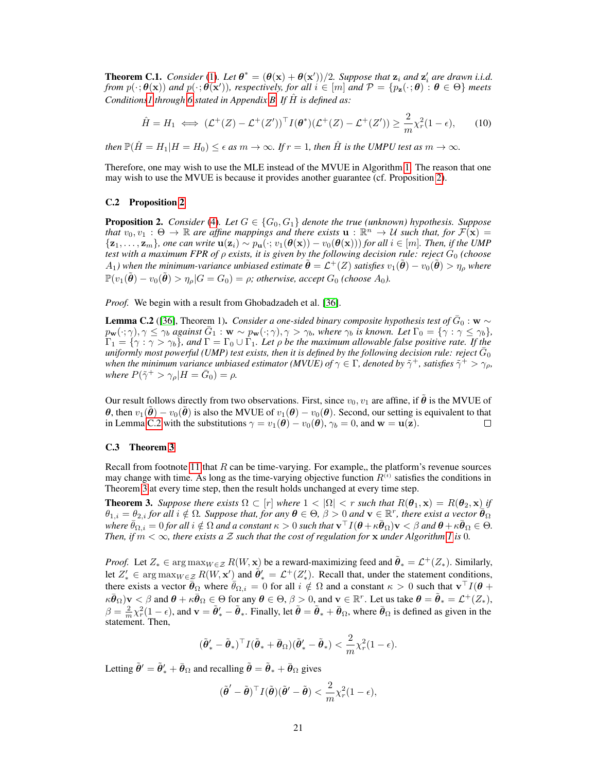**Theorem C.1.** *Consider* [\(1\)](#page-2-1). Let  $\theta^* = (\theta(\mathbf{x}) + \theta(\mathbf{x}'))/2$ . Suppose that  $\mathbf{z}_i$  and  $\mathbf{z}'_i$  are drawn i.i.d. *from*  $p(\cdot; \theta(\mathbf{x}))$  and  $p(\cdot; \theta(\mathbf{x}'))$ , respectively, for all  $i \in [m]$  and  $\mathcal{P} = \{p_{\mathbf{z}}(\cdot; \theta) : \theta \in \Theta\}$  meets *Condition[s1](#page-18-0) through [6](#page-18-2) stated in Appendix [B.](#page-17-0) If* Hˆ *is defined as:*

$$
\hat{H} = H_1 \iff (\mathcal{L}^+(Z) - \mathcal{L}^+(Z'))^\top I(\boldsymbol{\theta}^*)(\mathcal{L}^+(Z) - \mathcal{L}^+(Z')) \ge \frac{2}{m}\chi_r^2(1-\epsilon),\tag{10}
$$

*then*  $\mathbb{P}(\hat{H} = H_1|H = H_0) \le \epsilon$  *as*  $m \to \infty$ *. If*  $r = 1$ *, then*  $\hat{H}$  *is the UMPU test as*  $m \to \infty$ *.* 

Therefore, one may wish to use the MLE instead of the MVUE in Algorithm [1.](#page-4-0) The reason that one may wish to use the MVUE is because it provides another guarantee (cf. Proposition [2\)](#page-6-0).

### C.2 Proposition [2](#page-6-0)

**Proposition 2.** *Consider* [\(4\)](#page-6-3). Let  $G \in \{G_0, G_1\}$  *denote the true (unknown) hypothesis. Suppose that*  $v_0, v_1 : \Theta \to \mathbb{R}$  are affine mappings and there exists  $\mathbf{u} : \mathbb{R}^n \to U$  such that, for  $\mathcal{F}(\mathbf{x}) =$  ${z_1, \ldots, z_m}$ *, one can write*  $u(z_i) \sim p_u(\cdot; v_1(\theta(x)) - v_0(\theta(x)))$  *for all*  $i \in [m]$ *. Then, if the UMP test with a maximum FPR of ρ exists, it is given by the following decision rule: reject*  $G_0$  *(choose*  $A_1$ ) when the minimum-variance unbiased estimate  $\tilde{\bm{\theta}} = \mathcal{L}^+(Z)$  satisfies  $v_1(\tilde{\bm{\theta}}) - v_0(\tilde{\bm{\theta}}) > \eta_\rho$  where  $\mathbb{P}(v_1(\tilde{\boldsymbol{\theta}}) - v_0(\tilde{\boldsymbol{\theta}}) > \eta_\rho | G = G_0) = \rho$ ; otherwise, accept  $G_0$  *(choose*  $A_0$ ).

*Proof.* We begin with a result from Ghobadzadeh et al. [\[36\]](#page-11-18).

<span id="page-20-0"></span>**Lemma C.2** ([\[36\]](#page-11-18), Theorem 1). *Consider a one-sided binary composite hypothesis test of*  $\bar{G}_0$  : w  $\sim$  $p_{\mathbf{w}}(\cdot; \gamma), \gamma \leq \gamma_b$  *against*  $\bar{G}_1 : \mathbf{w} \sim p_{\mathbf{w}}(\cdot; \gamma), \gamma > \gamma_b$ , where  $\gamma_b$  *is known. Let*  $\Gamma_0 = \{ \gamma : \gamma \leq \gamma_b \}$ ,  $\Gamma_1 = \{\gamma: \gamma > \gamma_b\}$ , and  $\Gamma = \Gamma_0 \cup \Gamma_1$ . Let  $\rho$  be the maximum allowable false positive rate. If the uniformly most powerful (UMP) test exists, then it is defined by the following decision rule: reject  $\bar{G}_0$ when the minimum variance unbiased estimator (MVUE) of  $\gamma \in \Gamma$ , denoted by  $\tilde{\gamma}^+$ , satisfies  $\tilde{\gamma}^+ > \gamma_\rho$ , *where*  $P(\tilde{\gamma}^+ > \gamma_\rho | H = \bar{G}_0) = \rho$ .

Our result follows directly from two observations. First, since  $v_0$ ,  $v_1$  are affine, if  $\tilde{\theta}$  is the MVUE of θ, then  $v_1(\tilde{\theta}) - v_0(\tilde{\theta})$  is also the MVUE of  $v_1(\theta) - v_0(\theta)$ . Second, our setting is equivalent to that in Lemma [C.2](#page-20-0) with the substitutions  $\gamma = v_1(\theta) - v_0(\theta)$ ,  $\gamma_b = 0$ , and  $\mathbf{w} = \mathbf{u}(\mathbf{z})$ . П

#### C.3 Theorem [3](#page-7-3)

Recall from footnote [11](#page-7-2) that  $R$  can be time-varying. For example,, the platform's revenue sources may change with time. As long as the time-varying objective function  $R<sup>(t)</sup>$  satisfies the conditions in Theorem [3](#page-7-3) at every time step, then the result holds unchanged at every time step.

**Theorem 3.** Suppose there exists  $\Omega \subset [r]$  where  $1 < |\Omega| < r$  such that  $R(\theta_1, \mathbf{x}) = R(\theta_2, \mathbf{x})$  if  $\theta_{1,i} = \theta_{2,i}$  for all  $i \notin \Omega$ . Suppose that, for any  $\boldsymbol{\theta} \in \Theta$ ,  $\beta > 0$  and  $\mathbf{v} \in \mathbb{R}^r$ , there exist a vector  $\boldsymbol{\theta}_{\Omega}$  $\bar{\theta}_{\Omega,i}=0$  for all  $i\notin \Omega$  and a constant  $\kappa>0$  such that  $\mathbf{v}^\top I(\bm{\theta}+\kappa\bar{\bm{\theta}}_\Omega)\mathbf{v}<\beta$  and  $\bm{\theta}+\kappa\bar{\bm{\theta}}_\Omega\in\Theta.$ *Then, if*  $m < \infty$ *, there exists a* Z *such that the cost of regulation for* x *under Algorithm [1](#page-4-0) is* 0*.* 

*Proof.* Let  $Z_* \in \arg \max_{W \in \mathcal{Z}} R(W, \mathbf{x})$  be a reward-maximizing feed and  $\tilde{\boldsymbol{\theta}}_* = \mathcal{L}^+(Z_*)$ . Similarly, let  $Z'_* \in \arg \max_{W \in \mathcal{Z}} R(W, \mathbf{x}')$  and  $\hat{\theta}'_* = \mathcal{L}^+(Z'_*)$ . Recall that, under the statement conditions, there exists a vector  $\bar{\bar{\theta}}_{\Omega}$  where  $\bar{\theta}_{\Omega,i} = 0$  for all  $i \notin \Omega$  and a constant  $\kappa > 0$  such that  $\mathbf{v}^\top I(\theta +$  $\kappa\bar{\boldsymbol{\theta}}_{\Omega}$ )v  $<\beta$  and  $\boldsymbol{\theta}+\kappa\bar{\boldsymbol{\theta}}_{\Omega}\in\Theta$  for any  $\boldsymbol{\theta}\in\Theta,$   $\beta>0,$  and  $\mathbf{v}\in\mathbb{R}^{r}.$  Let us take  $\boldsymbol{\theta}=\tilde{\boldsymbol{\theta}}_{*}=\mathcal{L}^{+}(Z_{*}),$  $\beta = \frac{2}{m}\chi^2_r(1-\epsilon)$ , and  $\mathbf{v} = \tilde{\boldsymbol{\theta}}'_* - \tilde{\boldsymbol{\theta}}_*$ . Finally, let  $\tilde{\boldsymbol{\theta}} = \tilde{\boldsymbol{\theta}}_* + \bar{\boldsymbol{\theta}}_\Omega$ , where  $\bar{\boldsymbol{\theta}}_\Omega$  is defined as given in the statement. Then,

$$
(\tilde{\boldsymbol{\theta}}_*' - \tilde{\boldsymbol{\theta}}_*)^{\top} I(\tilde{\boldsymbol{\theta}}_* + \bar{\boldsymbol{\theta}}_{\Omega})(\tilde{\boldsymbol{\theta}}_*' - \tilde{\boldsymbol{\theta}}_*) < \frac{2}{m} \chi^2_r (1 - \epsilon).
$$

Letting  $\tilde{\theta}' = \tilde{\theta}'_* + \bar{\theta}_{\Omega}$  and recalling  $\tilde{\theta} = \tilde{\theta}_* + \bar{\theta}_{\Omega}$  gives

$$
(\tilde{\boldsymbol{\theta}}' - \tilde{\boldsymbol{\theta}})^{\top} I(\tilde{\boldsymbol{\theta}})(\tilde{\boldsymbol{\theta}}' - \tilde{\boldsymbol{\theta}}) < \frac{2}{m} \chi_r^2 (1 - \epsilon),
$$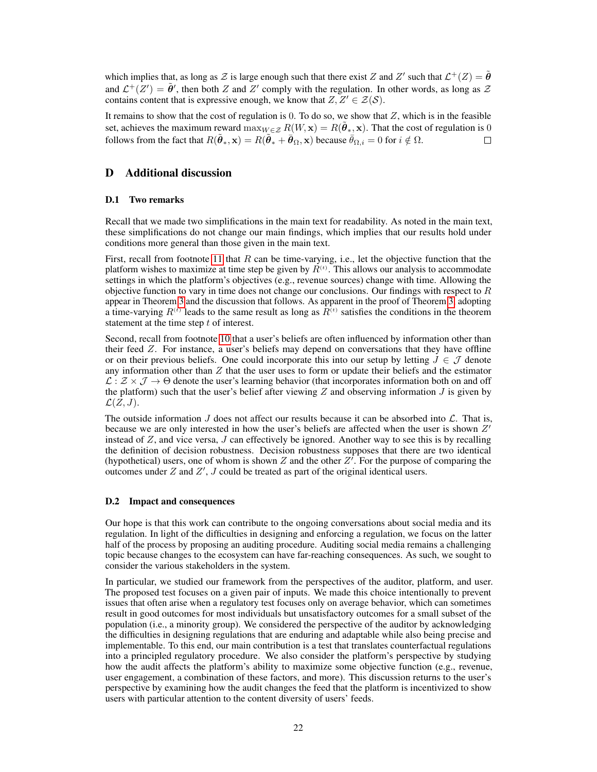which implies that, as long as Z is large enough such that there exist Z and Z' such that  $\mathcal{L}^+(Z) = \tilde{\theta}$ and  $\mathcal{L}^+(Z') = \tilde{\theta}'$ , then both Z and Z' comply with the regulation. In other words, as long as Z contains content that is expressive enough, we know that  $Z, Z' \in \mathcal{Z}(\mathcal{S})$ .

It remains to show that the cost of regulation is 0. To do so, we show that  $Z$ , which is in the feasible set, achieves the maximum reward  $\max_{W \in \mathcal{Z}} R(W, \mathbf{x}) = R(\tilde{\theta}_*, \mathbf{x})$ . That the cost of regulation is 0 follows from the fact that  $R(\tilde{\theta}_*, \mathbf{x}) = R(\tilde{\theta}_* + \bar{\theta}_{\Omega}, \mathbf{x})$  because  $\bar{\theta}_{\Omega,i} = 0$  for  $i \notin \Omega$ .  $\Box$ 

# <span id="page-21-0"></span>D Additional discussion

## D.1 Two remarks

Recall that we made two simplifications in the main text for readability. As noted in the main text, these simplifications do not change our main findings, which implies that our results hold under conditions more general than those given in the main text.

First, recall from footnote [11](#page-7-2) that R can be time-varying, i.e., let the objective function that the platform wishes to maximize at time step be given by  $R^{(t)}$ . This allows our analysis to accommodate settings in which the platform's objectives (e.g., revenue sources) change with time. Allowing the objective function to vary in time does not change our conclusions. Our findings with respect to  $R$ appear in Theorem [3](#page-7-3) and the discussion that follows. As apparent in the proof of Theorem [3,](#page-7-3) adopting a time-varying  $R^{(t)}$  leads to the same result as long as  $R^{(t)}$  satisfies the conditions in the theorem statement at the time step  $t$  of interest.

Second, recall from footnote [10](#page-6-2) that a user's beliefs are often influenced by information other than their feed Z. For instance, a user's beliefs may depend on conversations that they have offline or on their previous beliefs. One could incorporate this into our setup by letting  $J \in \mathcal{J}$  denote any information other than  $Z$  that the user uses to form or update their beliefs and the estimator  $\mathcal{L}: \mathcal{Z} \times \mathcal{J} \to \Theta$  denote the user's learning behavior (that incorporates information both on and off the platform) such that the user's belief after viewing  $Z$  and observing information  $J$  is given by  $\mathcal{L}(\overline{Z},J).$ 

The outside information  $J$  does not affect our results because it can be absorbed into  $\mathcal{L}$ . That is, because we are only interested in how the user's beliefs are affected when the user is shown  $Z'$ instead of  $Z$ , and vice versa,  $J$  can effectively be ignored. Another way to see this is by recalling the definition of decision robustness. Decision robustness supposes that there are two identical (hypothetical) users, one of whom is shown Z and the other  $Z^f$ . For the purpose of comparing the outcomes under  $Z$  and  $Z'$ ,  $J$  could be treated as part of the original identical users.

## D.2 Impact and consequences

Our hope is that this work can contribute to the ongoing conversations about social media and its regulation. In light of the difficulties in designing and enforcing a regulation, we focus on the latter half of the process by proposing an auditing procedure. Auditing social media remains a challenging topic because changes to the ecosystem can have far-reaching consequences. As such, we sought to consider the various stakeholders in the system.

In particular, we studied our framework from the perspectives of the auditor, platform, and user. The proposed test focuses on a given pair of inputs. We made this choice intentionally to prevent issues that often arise when a regulatory test focuses only on average behavior, which can sometimes result in good outcomes for most individuals but unsatisfactory outcomes for a small subset of the population (i.e., a minority group). We considered the perspective of the auditor by acknowledging the difficulties in designing regulations that are enduring and adaptable while also being precise and implementable. To this end, our main contribution is a test that translates counterfactual regulations into a principled regulatory procedure. We also consider the platform's perspective by studying how the audit affects the platform's ability to maximize some objective function (e.g., revenue, user engagement, a combination of these factors, and more). This discussion returns to the user's perspective by examining how the audit changes the feed that the platform is incentivized to show users with particular attention to the content diversity of users' feeds.